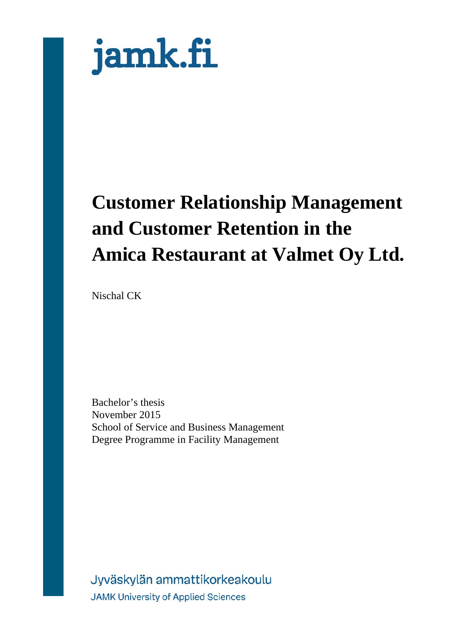

# **Customer Relationship Management and Customer Retention in the Amica Restaurant at Valmet Oy Ltd.**

Nischal CK

Bachelor's thesis November 2015 School of Service and Business Management Degree Programme in Facility Management

Jyväskylän ammattikorkeakoulu **JAMK University of Applied Sciences**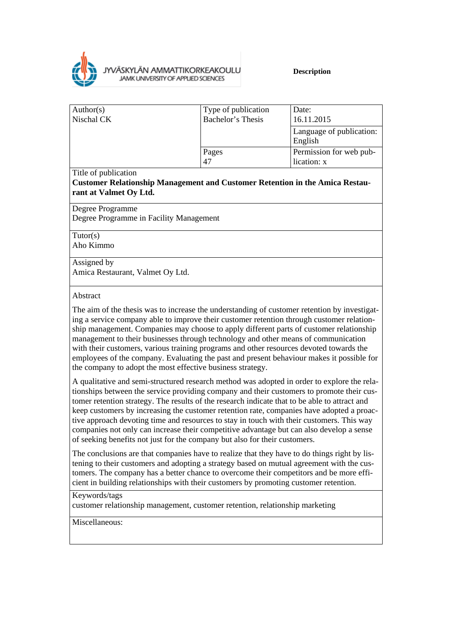

| Type of publication<br>Bachelor's Thesis | Date:<br>16.11.2015                    |
|------------------------------------------|----------------------------------------|
|                                          | Language of publication:<br>English    |
| Pages                                    | Permission for web pub-<br>lication: x |
|                                          | 47                                     |

Title of publication

**Customer Relationship Management and Customer Retention in the Amica Restaurant at Valmet Oy Ltd.**

Degree Programme

Degree Programme in Facility Management

Tutor(s) Aho Kimmo

Assigned by

Amica Restaurant, Valmet Oy Ltd.

#### Abstract

The aim of the thesis was to increase the understanding of customer retention by investigating a service company able to improve their customer retention through customer relationship management. Companies may choose to apply different parts of customer relationship management to their businesses through technology and other means of communication with their customers, various training programs and other resources devoted towards the employees of the company. Evaluating the past and present behaviour makes it possible for the company to adopt the most effective business strategy.

A qualitative and semi-structured research method was adopted in order to explore the relationships between the service providing company and their customers to promote their customer retention strategy. The results of the research indicate that to be able to attract and keep customers by increasing the customer retention rate, companies have adopted a proactive approach devoting time and resources to stay in touch with their customers. This way companies not only can increase their competitive advantage but can also develop a sense of seeking benefits not just for the company but also for their customers.

The conclusions are that companies have to realize that they have to do things right by listening to their customers and adopting a strategy based on mutual agreement with the customers. The company has a better chance to overcome their competitors and be more efficient in building relationships with their customers by promoting customer retention.

Keywords/tags

customer relationship management, customer retention, relationship marketing

Miscellaneous: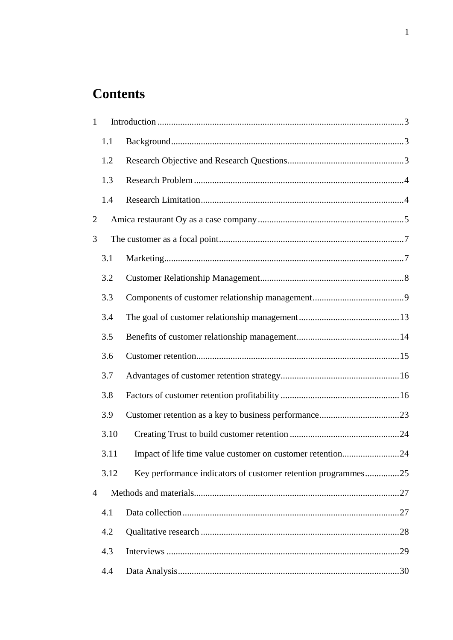# **Contents**

| $\mathbf{1}$ |      |                                                               |  |  |
|--------------|------|---------------------------------------------------------------|--|--|
|              | 1.1  |                                                               |  |  |
|              | 1.2  |                                                               |  |  |
|              | 1.3  |                                                               |  |  |
|              | 1.4  |                                                               |  |  |
| 2            |      |                                                               |  |  |
| 3            |      |                                                               |  |  |
|              | 3.1  |                                                               |  |  |
|              | 3.2  |                                                               |  |  |
|              | 3.3  |                                                               |  |  |
|              | 3.4  |                                                               |  |  |
|              | 3.5  |                                                               |  |  |
|              | 3.6  |                                                               |  |  |
|              | 3.7  |                                                               |  |  |
|              | 3.8  |                                                               |  |  |
|              | 3.9  |                                                               |  |  |
|              | 3.10 |                                                               |  |  |
|              | 3.11 | Impact of life time value customer on customer retention24    |  |  |
|              | 3.12 | Key performance indicators of customer retention programmes25 |  |  |
| 4            |      |                                                               |  |  |
|              | 4.1  |                                                               |  |  |
|              | 4.2  |                                                               |  |  |
|              | 4.3  |                                                               |  |  |
|              | 4.4  |                                                               |  |  |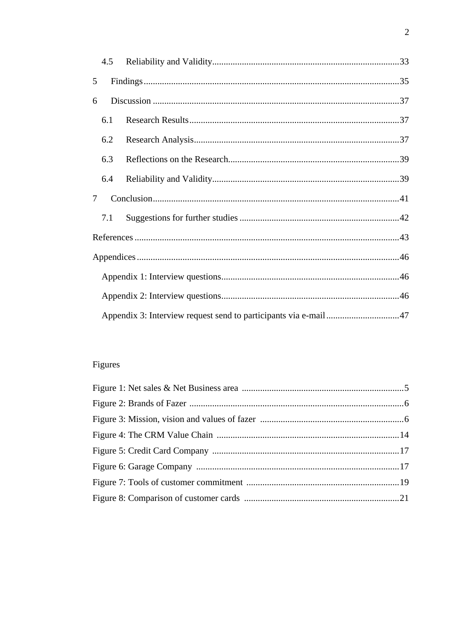|        | 4.5                                                              |  |  |  |  |
|--------|------------------------------------------------------------------|--|--|--|--|
| 5      |                                                                  |  |  |  |  |
| 6      |                                                                  |  |  |  |  |
|        | 6.1                                                              |  |  |  |  |
|        | 6.2                                                              |  |  |  |  |
| 6.3    |                                                                  |  |  |  |  |
|        | 6.4                                                              |  |  |  |  |
| $\tau$ |                                                                  |  |  |  |  |
|        | 7.1                                                              |  |  |  |  |
|        |                                                                  |  |  |  |  |
|        |                                                                  |  |  |  |  |
|        |                                                                  |  |  |  |  |
|        |                                                                  |  |  |  |  |
|        | Appendix 3: Interview request send to participants via e-mail 47 |  |  |  |  |

# Figures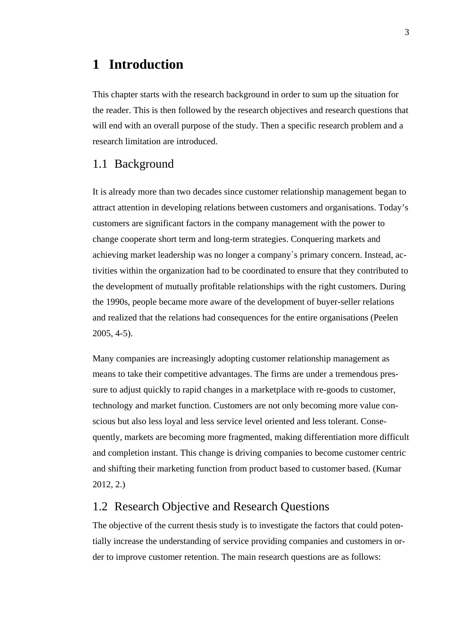# <span id="page-4-0"></span>**1 Introduction**

This chapter starts with the research background in order to sum up the situation for the reader. This is then followed by the research objectives and research questions that will end with an overall purpose of the study. Then a specific research problem and a research limitation are introduced.

### <span id="page-4-1"></span>1.1 Background

It is already more than two decades since customer relationship management began to attract attention in developing relations between customers and organisations. Today's customers are significant factors in the company management with the power to change cooperate short term and long-term strategies. Conquering markets and achieving market leadership was no longer a company`s primary concern. Instead, activities within the organization had to be coordinated to ensure that they contributed to the development of mutually profitable relationships with the right customers. During the 1990s, people became more aware of the development of buyer-seller relations and realized that the relations had consequences for the entire organisations (Peelen 2005, 4-5).

Many companies are increasingly adopting customer relationship management as means to take their competitive advantages. The firms are under a tremendous pressure to adjust quickly to rapid changes in a marketplace with re-goods to customer, technology and market function. Customers are not only becoming more value conscious but also less loyal and less service level oriented and less tolerant. Consequently, markets are becoming more fragmented, making differentiation more difficult and completion instant. This change is driving companies to become customer centric and shifting their marketing function from product based to customer based. (Kumar 2012, 2.)

### <span id="page-4-2"></span>1.2 Research Objective and Research Questions

The objective of the current thesis study is to investigate the factors that could potentially increase the understanding of service providing companies and customers in order to improve customer retention. The main research questions are as follows: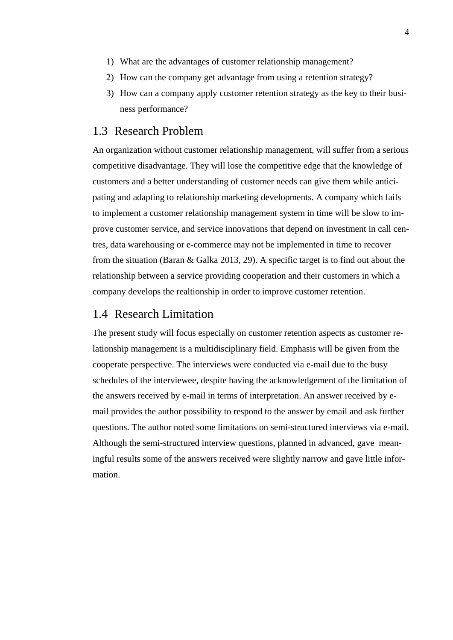- 1) What are the advantages of customer relationship management?
- 2) How can the company get advantage from using a retention strategy?
- 3) How can a company apply customer retention strategy as the key to their business performance?

### <span id="page-5-0"></span>1.3 Research Problem

An organization without customer relationship management, will suffer from a serious competitive disadvantage. They will lose the competitive edge that the knowledge of customers and a better understanding of customer needs can give them while anticipating and adapting to relationship marketing developments. A company which fails to implement a customer relationship management system in time will be slow to improve customer service, and service innovations that depend on investment in call centres, data warehousing or e-commerce may not be implemented in time to recover from the situation (Baran & Galka 2013, 29). A specific target is to find out about the relationship between a service providing cooperation and their customers in which a company develops the realtionship in order to improve customer retention.

### <span id="page-5-1"></span>1.4 Research Limitation

The present study will focus especially on customer retention aspects as customer relationship management is a multidisciplinary field. Emphasis will be given from the cooperate perspective. The interviews were conducted via e-mail due to the busy schedules of the interviewee, despite having the acknowledgement of the limitation of the answers received by e-mail in terms of interpretation. An answer received by email provides the author possibility to respond to the answer by email and ask further questions. The author noted some limitations on semi-structured interviews via e-mail. Although the semi-structured interview questions, planned in advanced, gave meaningful results some of the answers received were slightly narrow and gave little information.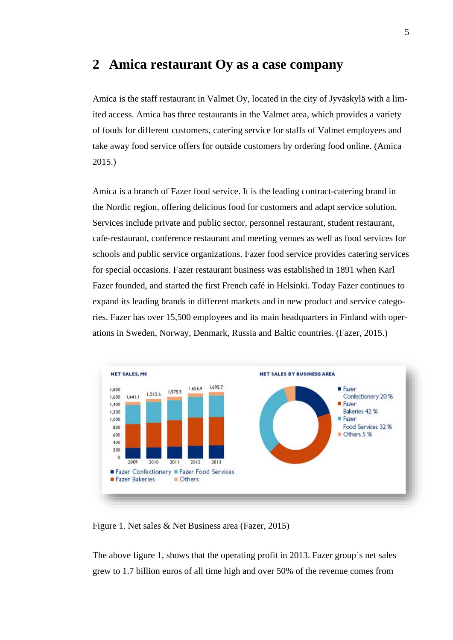### <span id="page-6-0"></span>**2 Amica restaurant Oy as a case company**

Amica is the staff restaurant in Valmet Oy, located in the city of Jyväskylä with a limited access. Amica has three restaurants in the Valmet area, which provides a variety of foods for different customers, catering service for staffs of Valmet employees and take away food service offers for outside customers by ordering food online. (Amica 2015.)

Amica is a branch of Fazer food service. It is the leading contract-catering brand in the Nordic region, offering delicious food for customers and adapt service solution. Services include private and public sector, personnel restaurant, student restaurant, cafe-restaurant, conference restaurant and meeting venues as well as food services for schools and public service organizations. Fazer food service provides catering services for special occasions. Fazer restaurant business was established in 1891 when Karl Fazer founded, and started the first French café in Helsinki. Today Fazer continues to expand its leading brands in different markets and in new product and service categories. Fazer has over 15,500 employees and its main headquarters in Finland with operations in Sweden, Norway, Denmark, Russia and Baltic countries. (Fazer, 2015.)



<span id="page-6-1"></span>Figure 1. Net sales & Net Business area (Fazer, 2015)

The above figure 1, shows that the operating profit in 2013. Fazer group`s net sales grew to 1.7 billion euros of all time high and over 50% of the revenue comes from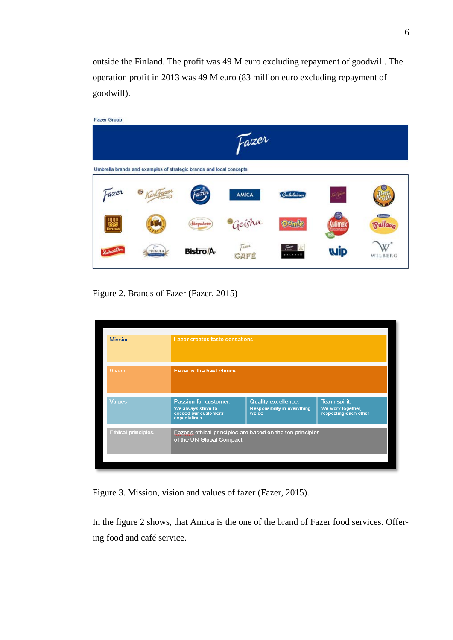outside the Finland. The profit was 49 M euro excluding repayment of goodwill. The operation profit in 2013 was 49 M euro (83 million euro excluding repayment of goodwill).

| <b>Fazer Group</b> |                                                                     |                     |              |                             |        |                |
|--------------------|---------------------------------------------------------------------|---------------------|--------------|-----------------------------|--------|----------------|
|                    |                                                                     |                     | tazer        |                             |        |                |
|                    |                                                                     |                     |              |                             |        |                |
|                    | Umbrella brands and examples of strategic brands and local concepts |                     |              |                             |        |                |
| Fazer              | Karl Fare                                                           | aze:                | <b>AMICA</b> | Gululainen                  | 64     |                |
|                    |                                                                     |                     |              |                             |        | Guidan         |
| Druva              |                                                                     | 646931<br>Skogaholm | Geisha       | <b>PUTTIE</b>               | Jlimat | <b>Pullavo</b> |
|                    |                                                                     |                     | Fazoi        | $\bar{f}^{\text{max}}$<br>雲 |        |                |
|                    | PUIKULA                                                             | <b>Bistro/A</b>     | CAFE         |                             | wip    | WILBERG        |

<span id="page-7-0"></span>Figure 2. Brands of Fazer (Fazer, 2015)

<span id="page-7-1"></span>

| <b>Mission</b>            | <b>Fazer creates taste sensations</b>                                                  |                                                                     |                                                            |
|---------------------------|----------------------------------------------------------------------------------------|---------------------------------------------------------------------|------------------------------------------------------------|
| <b>Vision</b>             | Fazer is the best choice                                                               |                                                                     |                                                            |
| <b>Values</b>             | Passion for customer:<br>We always strive to<br>exceed our customers'<br>expectations  | <b>Quality excellence:</b><br>Responsibility in everything<br>we do | Team spirit:<br>We work together,<br>respecting each other |
| <b>Ethical principles</b> | Fazer's ethical principles are based on the ten principles<br>of the UN Global Compact |                                                                     |                                                            |
|                           |                                                                                        |                                                                     |                                                            |

Figure 3. Mission, vision and values of fazer (Fazer, 2015).

In the figure 2 shows, that Amica is the one of the brand of Fazer food services. Offering food and café service.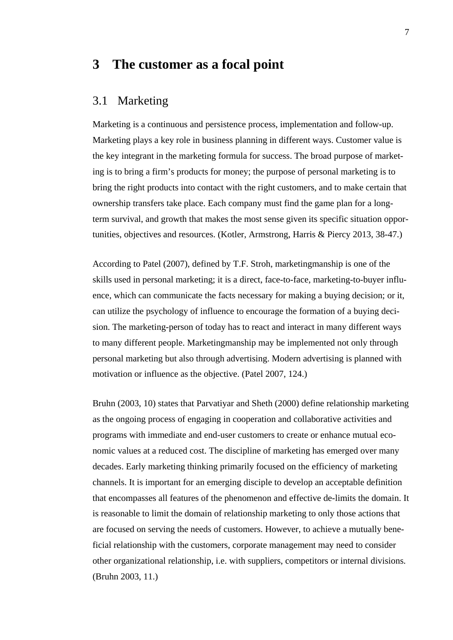# <span id="page-8-0"></span>**3 The customer as a focal point**

### <span id="page-8-1"></span>3.1 Marketing

Marketing is a continuous and persistence process, implementation and follow-up. Marketing plays a key role in business planning in different ways. Customer value is the key integrant in the marketing formula for success. The broad purpose of marketing is to bring a firm's products for money; the purpose of personal marketing is to bring the right products into contact with the right customers, and to make certain that ownership transfers take place. Each company must find the game plan for a longterm survival, and growth that makes the most sense given its specific situation opportunities, objectives and resources. (Kotler, Armstrong, Harris & Piercy 2013, 38-47.)

According to Patel (2007), defined by T.F. Stroh, marketingmanship is one of the skills used in personal marketing; it is a direct, face-to-face, marketing-to-buyer influence, which can communicate the facts necessary for making a buying decision; or it, can utilize the psychology of influence to encourage the formation of a buying decision. The marketing-person of today has to react and interact in many different ways to many different people. Marketingmanship may be implemented not only through personal marketing but also through advertising. Modern advertising is planned with motivation or influence as the objective. (Patel 2007, 124.)

Bruhn (2003, 10) states that Parvatiyar and Sheth (2000) define relationship marketing as the ongoing process of engaging in cooperation and collaborative activities and programs with immediate and end-user customers to create or enhance mutual economic values at a reduced cost. The discipline of marketing has emerged over many decades. Early marketing thinking primarily focused on the efficiency of marketing channels. It is important for an emerging disciple to develop an acceptable definition that encompasses all features of the phenomenon and effective de-limits the domain. It is reasonable to limit the domain of relationship marketing to only those actions that are focused on serving the needs of customers. However, to achieve a mutually beneficial relationship with the customers, corporate management may need to consider other organizational relationship, i.e. with suppliers, competitors or internal divisions. (Bruhn 2003, 11.)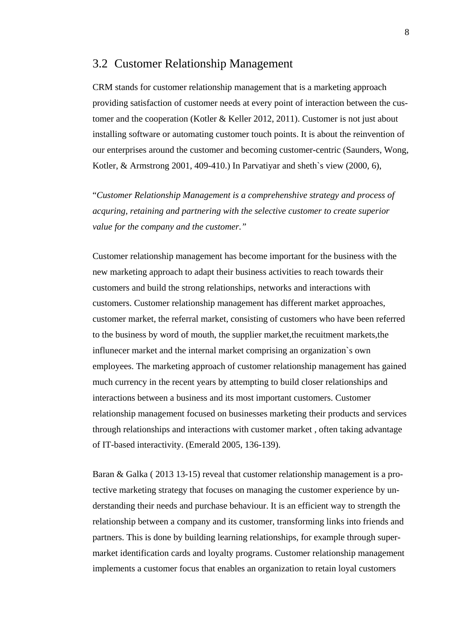### <span id="page-9-0"></span>3.2 Customer Relationship Management

CRM stands for customer relationship management that is a marketing approach providing satisfaction of customer needs at every point of interaction between the customer and the cooperation (Kotler & Keller 2012, 2011). Customer is not just about installing software or automating customer touch points. It is about the reinvention of our enterprises around the customer and becoming customer-centric (Saunders, Wong, Kotler, & Armstrong 2001, 409-410.) In Parvatiyar and sheth`s view (2000, 6),

"*Customer Relationship Management is a comprehenshive strategy and process of acquring, retaining and partnering with the selective customer to create superior value for the company and the customer."*

Customer relationship management has become important for the business with the new marketing approach to adapt their business activities to reach towards their customers and build the strong relationships, networks and interactions with customers. Customer relationship management has different market approaches, customer market, the referral market, consisting of customers who have been referred to the business by word of mouth, the supplier market, the recuitment markets, the influnecer market and the internal market comprising an organization`s own employees. The marketing approach of customer relationship management has gained much currency in the recent years by attempting to build closer relationships and interactions between a business and its most important customers. Customer relationship management focused on businesses marketing their products and services through relationships and interactions with customer market , often taking advantage of IT-based interactivity. (Emerald 2005, 136-139).

Baran & Galka ( 2013 13-15) reveal that customer relationship management is a protective marketing strategy that focuses on managing the customer experience by understanding their needs and purchase behaviour. It is an efficient way to strength the relationship between a company and its customer, transforming links into friends and partners. This is done by building learning relationships, for example through supermarket identification cards and loyalty programs. Customer relationship management implements a customer focus that enables an organization to retain loyal customers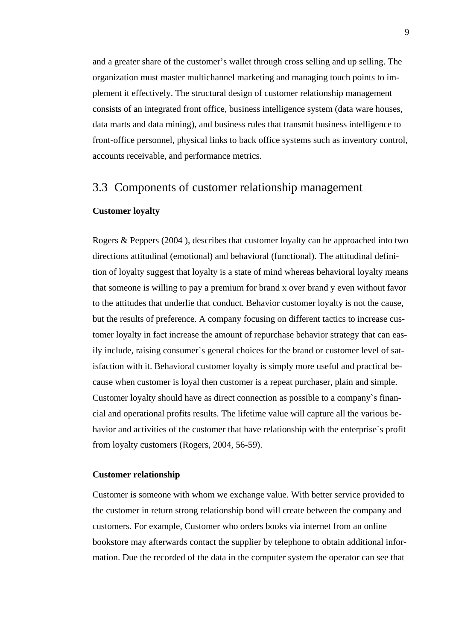and a greater share of the customer's wallet through cross selling and up selling. The organization must master multichannel marketing and managing touch points to implement it effectively. The structural design of customer relationship management consists of an integrated front office, business intelligence system (data ware houses, data marts and data mining), and business rules that transmit business intelligence to front-office personnel, physical links to back office systems such as inventory control, accounts receivable, and performance metrics.

### <span id="page-10-0"></span>3.3 Components of customer relationship management

#### **Customer loyalty**

Rogers & Peppers (2004 ), describes that customer loyalty can be approached into two directions attitudinal (emotional) and behavioral (functional). The attitudinal definition of loyalty suggest that loyalty is a state of mind whereas behavioral loyalty means that someone is willing to pay a premium for brand x over brand y even without favor to the attitudes that underlie that conduct. Behavior customer loyalty is not the cause, but the results of preference. A company focusing on different tactics to increase customer loyalty in fact increase the amount of repurchase behavior strategy that can easily include, raising consumer`s general choices for the brand or customer level of satisfaction with it. Behavioral customer loyalty is simply more useful and practical because when customer is loyal then customer is a repeat purchaser, plain and simple. Customer loyalty should have as direct connection as possible to a company`s financial and operational profits results. The lifetime value will capture all the various behavior and activities of the customer that have relationship with the enterprise`s profit from loyalty customers (Rogers, 2004, 56-59).

#### **Customer relationship**

Customer is someone with whom we exchange value. With better service provided to the customer in return strong relationship bond will create between the company and customers. For example, Customer who orders books via internet from an online bookstore may afterwards contact the supplier by telephone to obtain additional information. Due the recorded of the data in the computer system the operator can see that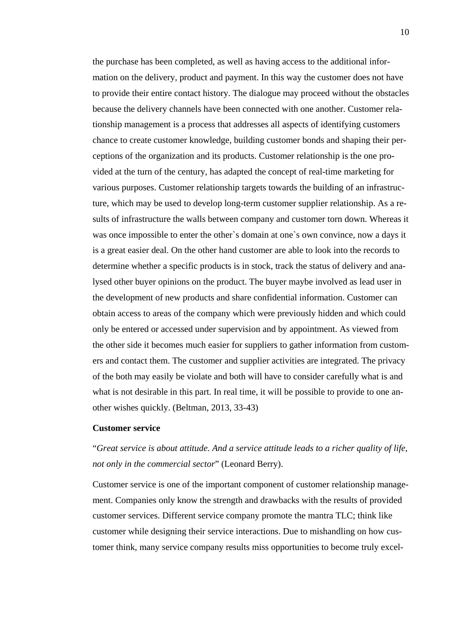the purchase has been completed, as well as having access to the additional information on the delivery, product and payment. In this way the customer does not have to provide their entire contact history. The dialogue may proceed without the obstacles because the delivery channels have been connected with one another. Customer relationship management is a process that addresses all aspects of identifying customers chance to create customer knowledge, building customer bonds and shaping their perceptions of the organization and its products. Customer relationship is the one provided at the turn of the century, has adapted the concept of real-time marketing for various purposes. Customer relationship targets towards the building of an infrastructure, which may be used to develop long-term customer supplier relationship. As a results of infrastructure the walls between company and customer torn down. Whereas it was once impossible to enter the other`s domain at one`s own convince, now a days it is a great easier deal. On the other hand customer are able to look into the records to determine whether a specific products is in stock, track the status of delivery and analysed other buyer opinions on the product. The buyer maybe involved as lead user in the development of new products and share confidential information. Customer can obtain access to areas of the company which were previously hidden and which could only be entered or accessed under supervision and by appointment. As viewed from the other side it becomes much easier for suppliers to gather information from customers and contact them. The customer and supplier activities are integrated. The privacy of the both may easily be violate and both will have to consider carefully what is and what is not desirable in this part. In real time, it will be possible to provide to one another wishes quickly. (Beltman, 2013, 33-43)

#### **Customer service**

### "*Great service is about attitude. And a service attitude leads to a richer quality of life, not only in the commercial sector*" (Leonard Berry).

Customer service is one of the important component of customer relationship management. Companies only know the strength and drawbacks with the results of provided customer services. Different service company promote the mantra TLC; think like customer while designing their service interactions. Due to mishandling on how customer think, many service company results miss opportunities to become truly excel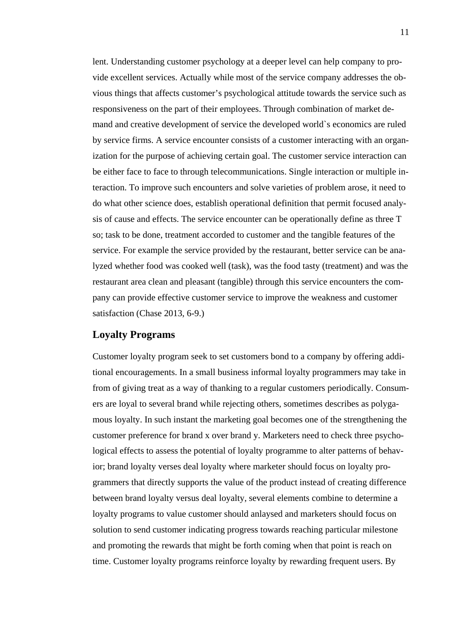lent. Understanding customer psychology at a deeper level can help company to provide excellent services. Actually while most of the service company addresses the obvious things that affects customer's psychological attitude towards the service such as responsiveness on the part of their employees. Through combination of market demand and creative development of service the developed world`s economics are ruled by service firms. A service encounter consists of a customer interacting with an organization for the purpose of achieving certain goal. The customer service interaction can be either face to face to through telecommunications. Single interaction or multiple interaction. To improve such encounters and solve varieties of problem arose, it need to do what other science does, establish operational definition that permit focused analysis of cause and effects. The service encounter can be operationally define as three T so; task to be done, treatment accorded to customer and the tangible features of the service. For example the service provided by the restaurant, better service can be analyzed whether food was cooked well (task), was the food tasty (treatment) and was the restaurant area clean and pleasant (tangible) through this service encounters the company can provide effective customer service to improve the weakness and customer satisfaction (Chase 2013, 6-9.)

#### **Loyalty Programs**

Customer loyalty program seek to set customers bond to a company by offering additional encouragements. In a small business informal loyalty programmers may take in from of giving treat as a way of thanking to a regular customers periodically. Consumers are loyal to several brand while rejecting others, sometimes describes as polygamous loyalty. In such instant the marketing goal becomes one of the strengthening the customer preference for brand x over brand y. Marketers need to check three psychological effects to assess the potential of loyalty programme to alter patterns of behavior; brand loyalty verses deal loyalty where marketer should focus on loyalty programmers that directly supports the value of the product instead of creating difference between brand loyalty versus deal loyalty, several elements combine to determine a loyalty programs to value customer should anlaysed and marketers should focus on solution to send customer indicating progress towards reaching particular milestone and promoting the rewards that might be forth coming when that point is reach on time. Customer loyalty programs reinforce loyalty by rewarding frequent users. By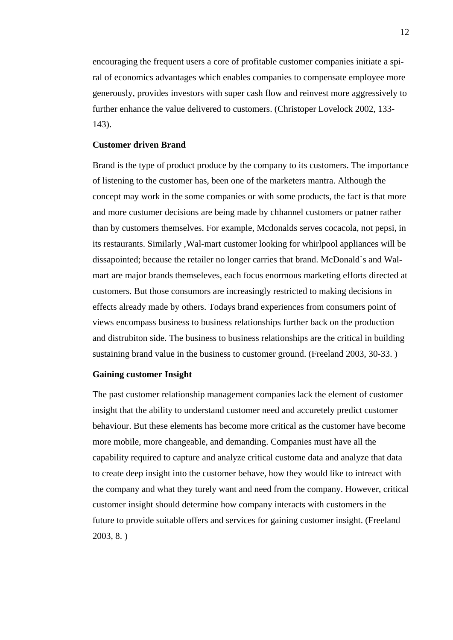encouraging the frequent users a core of profitable customer companies initiate a spiral of economics advantages which enables companies to compensate employee more generously, provides investors with super cash flow and reinvest more aggressively to further enhance the value delivered to customers. (Christoper Lovelock 2002, 133- 143).

#### **Customer driven Brand**

Brand is the type of product produce by the company to its customers. The importance of listening to the customer has, been one of the marketers mantra. Although the concept may work in the some companies or with some products, the fact is that more and more custumer decisions are being made by chhannel customers or patner rather than by customers themselves. For example, Mcdonalds serves cocacola, not pepsi, in its restaurants. Similarly ,Wal-mart customer looking for whirlpool appliances will be dissapointed; because the retailer no longer carries that brand. McDonald`s and Walmart are major brands themseleves, each focus enormous marketing efforts directed at customers. But those consumors are increasingly restricted to making decisions in effects already made by others. Todays brand experiences from consumers point of views encompass business to business relationships further back on the production and distrubiton side. The business to business relationships are the critical in building sustaining brand value in the business to customer ground. (Freeland 2003, 30-33. )

#### **Gaining customer Insight**

The past customer relationship management companies lack the element of customer insight that the ability to understand customer need and accuretely predict customer behaviour. But these elements has become more critical as the customer have become more mobile, more changeable, and demanding. Companies must have all the capability required to capture and analyze critical custome data and analyze that data to create deep insight into the customer behave, how they would like to intreact with the company and what they turely want and need from the company. However, critical customer insight should determine how company interacts with customers in the future to provide suitable offers and services for gaining customer insight. (Freeland 2003, 8. )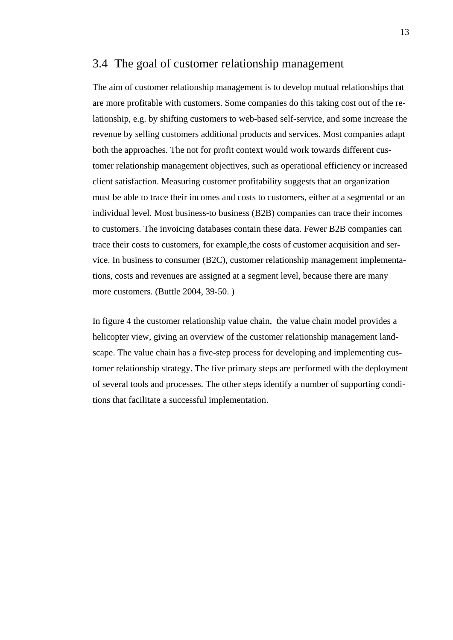### <span id="page-14-0"></span>3.4 The goal of customer relationship management

The aim of customer relationship management is to develop mutual relationships that are more profitable with customers. Some companies do this taking cost out of the relationship, e.g. by shifting customers to web-based self-service, and some increase the revenue by selling customers additional products and services. Most companies adapt both the approaches. The not for profit context would work towards different customer relationship management objectives, such as operational efficiency or increased client satisfaction. Measuring customer profitability suggests that an organization must be able to trace their incomes and costs to customers, either at a segmental or an individual level. Most business-to business (B2B) companies can trace their incomes to customers. The invoicing databases contain these data. Fewer B2B companies can trace their costs to customers, for example,the costs of customer acquisition and service. In business to consumer (B2C), customer relationship management implementations, costs and revenues are assigned at a segment level, because there are many more customers. (Buttle 2004, 39-50.)

In figure 4 the customer relationship value chain, the value chain model provides a helicopter view, giving an overview of the customer relationship management landscape. The value chain has a five-step process for developing and implementing customer relationship strategy. The five primary steps are performed with the deployment of several tools and processes. The other steps identify a number of supporting conditions that facilitate a successful implementation.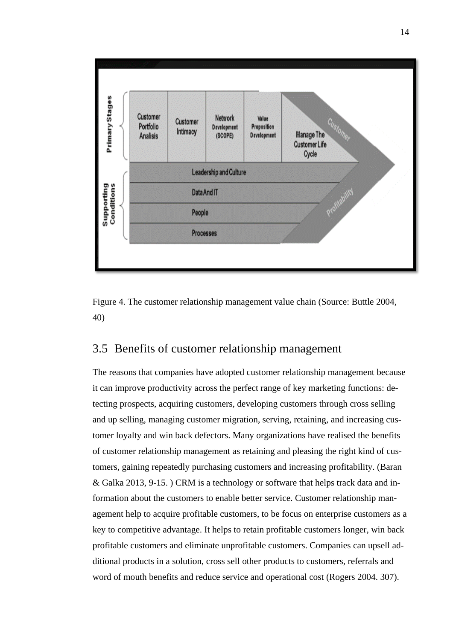

<span id="page-15-1"></span>

### <span id="page-15-0"></span>3.5 Benefits of customer relationship management

The reasons that companies have adopted customer relationship management because it can improve productivity across the perfect range of key marketing functions: detecting prospects, acquiring customers, developing customers through cross selling and up selling, managing customer migration, serving, retaining, and increasing customer loyalty and win back defectors. Many organizations have realised the benefits of customer relationship management as retaining and pleasing the right kind of customers, gaining repeatedly purchasing customers and increasing profitability. (Baran & Galka 2013, 9-15. ) CRM is a technology or software that helps track data and information about the customers to enable better service. Customer relationship management help to acquire profitable customers, to be focus on enterprise customers as a key to competitive advantage. It helps to retain profitable customers longer, win back profitable customers and eliminate unprofitable customers. Companies can upsell additional products in a solution, cross sell other products to customers, referrals and word of mouth benefits and reduce service and operational cost (Rogers 2004. 307).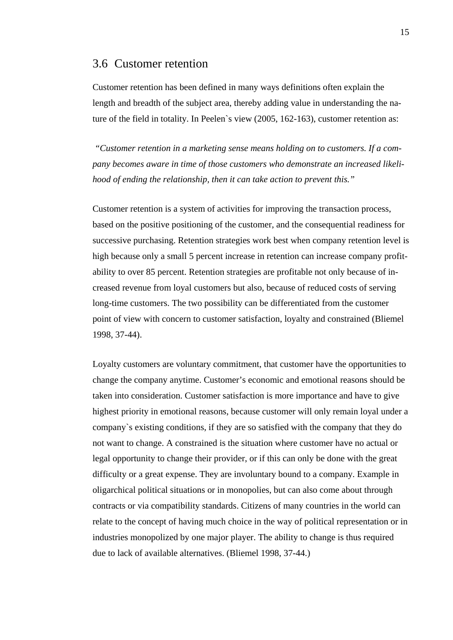### <span id="page-16-0"></span>3.6 Customer retention

Customer retention has been defined in many ways definitions often explain the length and breadth of the subject area, thereby adding value in understanding the nature of the field in totality. In Peelen`s view (2005, 162-163), customer retention as:

*"Customer retention in a marketing sense means holding on to customers. If a company becomes aware in time of those customers who demonstrate an increased likelihood of ending the relationship, then it can take action to prevent this."*

Customer retention is a system of activities for improving the transaction process, based on the positive positioning of the customer, and the consequential readiness for successive purchasing. Retention strategies work best when company retention level is high because only a small 5 percent increase in retention can increase company profitability to over 85 percent. Retention strategies are profitable not only because of increased revenue from loyal customers but also, because of reduced costs of serving long-time customers. The two possibility can be differentiated from the customer point of view with concern to customer satisfaction, loyalty and constrained (Bliemel 1998, 37-44).

Loyalty customers are voluntary commitment, that customer have the opportunities to change the company anytime. Customer's economic and emotional reasons should be taken into consideration. Customer satisfaction is more importance and have to give highest priority in emotional reasons, because customer will only remain loyal under a company`s existing conditions, if they are so satisfied with the company that they do not want to change. A constrained is the situation where customer have no actual or legal opportunity to change their provider, or if this can only be done with the great difficulty or a great expense. They are involuntary bound to a company. Example in oligarchical political situations or in monopolies, but can also come about through contracts or via compatibility standards. Citizens of many countries in the world can relate to the concept of having much choice in the way of political representation or in industries monopolized by one major player. The ability to change is thus required due to lack of available alternatives. (Bliemel 1998, 37-44.)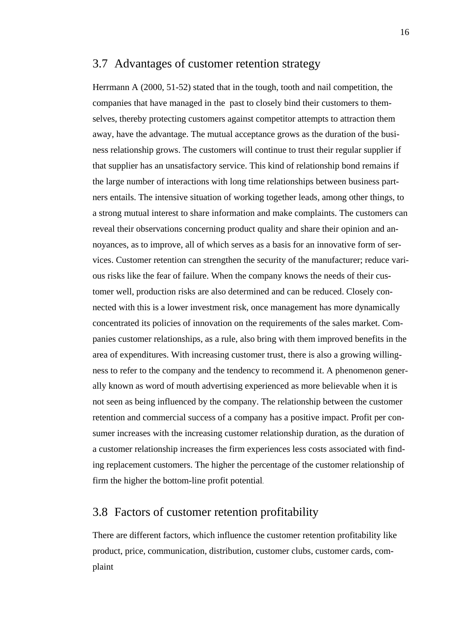### <span id="page-17-0"></span>3.7 Advantages of customer retention strategy

Herrmann A (2000, 51-52) stated that in the tough, tooth and nail competition, the companies that have managed in the past to closely bind their customers to themselves, thereby protecting customers against competitor attempts to attraction them away, have the advantage. The mutual acceptance grows as the duration of the business relationship grows. The customers will continue to trust their regular supplier if that supplier has an unsatisfactory service. This kind of relationship bond remains if the large number of interactions with long time relationships between business partners entails. The intensive situation of working together leads, among other things, to a strong mutual interest to share information and make complaints. The customers can reveal their observations concerning product quality and share their opinion and annoyances, as to improve, all of which serves as a basis for an innovative form of services. Customer retention can strengthen the security of the manufacturer; reduce various risks like the fear of failure. When the company knows the needs of their customer well, production risks are also determined and can be reduced. Closely connected with this is a lower investment risk, once management has more dynamically concentrated its policies of innovation on the requirements of the sales market. Companies customer relationships, as a rule, also bring with them improved benefits in the area of expenditures. With increasing customer trust, there is also a growing willingness to refer to the company and the tendency to recommend it. A phenomenon generally known as word of mouth advertising experienced as more believable when it is not seen as being influenced by the company. The relationship between the customer retention and commercial success of a company has a positive impact. Profit per consumer increases with the increasing customer relationship duration, as the duration of a customer relationship increases the firm experiences less costs associated with finding replacement customers. The higher the percentage of the customer relationship of firm the higher the bottom-line profit potential.

### <span id="page-17-1"></span>3.8 Factors of customer retention profitability

There are different factors, which influence the customer retention profitability like product, price, communication, distribution, customer clubs, customer cards, complaint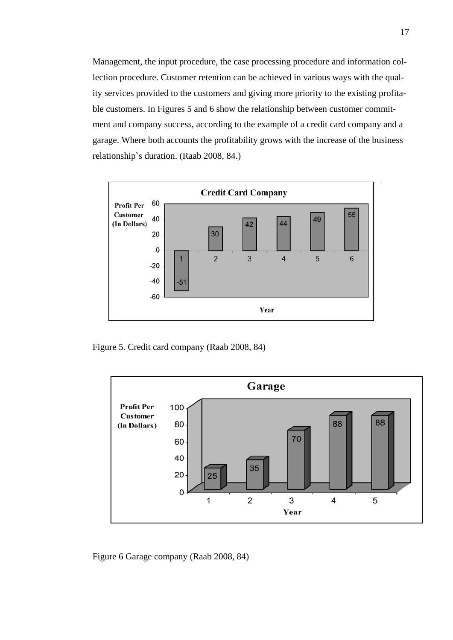Management, the input procedure, the case processing procedure and information collection procedure. Customer retention can be achieved in various ways with the quality services provided to the customers and giving more priority to the existing profitable customers. In Figures 5 and 6 show the relationship between customer commitment and company success, according to the example of a credit card company and a garage. Where both accounts the profitability grows with the increase of the business relationship`s duration. (Raab 2008, 84.)



<span id="page-18-0"></span>Figure 5. Credit card company (Raab 2008, 84)



<span id="page-18-1"></span>Figure 6 Garage company (Raab 2008, 84)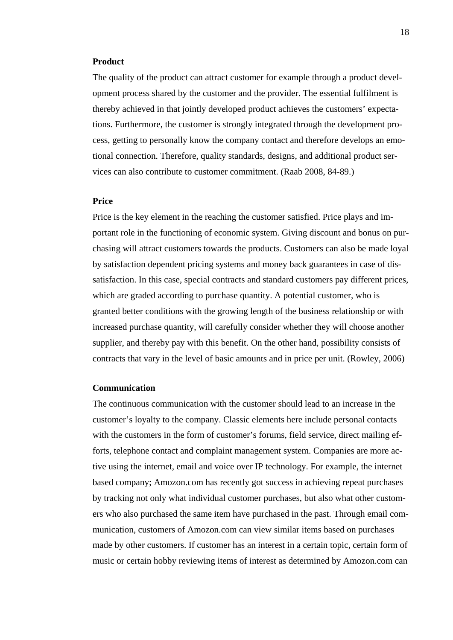#### **Product**

The quality of the product can attract customer for example through a product development process shared by the customer and the provider. The essential fulfilment is thereby achieved in that jointly developed product achieves the customers' expectations. Furthermore, the customer is strongly integrated through the development process, getting to personally know the company contact and therefore develops an emotional connection. Therefore, quality standards, designs, and additional product services can also contribute to customer commitment. (Raab 2008, 84-89.)

#### **Price**

Price is the key element in the reaching the customer satisfied. Price plays and important role in the functioning of economic system. Giving discount and bonus on purchasing will attract customers towards the products. Customers can also be made loyal by satisfaction dependent pricing systems and money back guarantees in case of dissatisfaction. In this case, special contracts and standard customers pay different prices, which are graded according to purchase quantity. A potential customer, who is granted better conditions with the growing length of the business relationship or with increased purchase quantity, will carefully consider whether they will choose another supplier, and thereby pay with this benefit. On the other hand, possibility consists of contracts that vary in the level of basic amounts and in price per unit. (Rowley, 2006)

#### **Communication**

The continuous communication with the customer should lead to an increase in the customer's loyalty to the company. Classic elements here include personal contacts with the customers in the form of customer's forums, field service, direct mailing efforts, telephone contact and complaint management system. Companies are more active using the internet, email and voice over IP technology. For example, the internet based company; Amozon.com has recently got success in achieving repeat purchases by tracking not only what individual customer purchases, but also what other customers who also purchased the same item have purchased in the past. Through email communication, customers of Amozon.com can view similar items based on purchases made by other customers. If customer has an interest in a certain topic, certain form of music or certain hobby reviewing items of interest as determined by Amozon.com can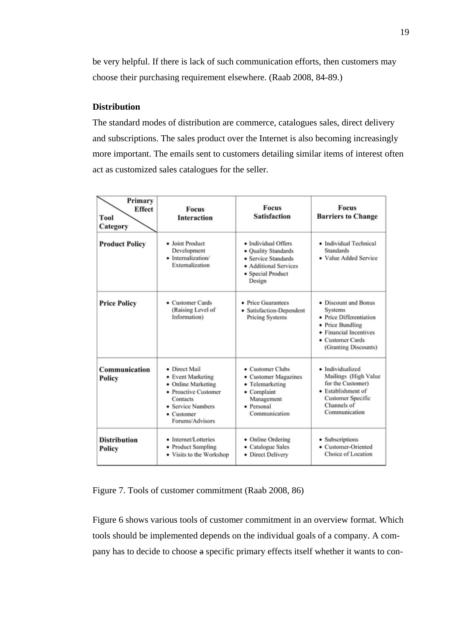be very helpful. If there is lack of such communication efforts, then customers may choose their purchasing requirement elsewhere. (Raab 2008, 84-89.)

#### **Distribution**

The standard modes of distribution are commerce, catalogues sales, direct delivery and subscriptions. The sales product over the Internet is also becoming increasingly more important. The emails sent to customers detailing similar items of interest often act as customized sales catalogues for the seller.

| Primary<br>Effect<br>Tool<br>Category | <b>Focus</b><br><b>Interaction</b>                                                                                                                         | Focus<br><b>Satisfaction</b>                                                                                              | <b>Focus</b><br><b>Barriers to Change</b>                                                                                                            |
|---------------------------------------|------------------------------------------------------------------------------------------------------------------------------------------------------------|---------------------------------------------------------------------------------------------------------------------------|------------------------------------------------------------------------------------------------------------------------------------------------------|
| <b>Product Policy</b>                 | · Joint Product<br>Development<br>· Internalization/<br>Externalization                                                                                    | · Individual Offers<br>• Quality Standards<br>· Service Standards<br>· Additional Services<br>• Special Product<br>Design | • Individual Technical<br><b>Standards</b><br>· Value Added Service                                                                                  |
| <b>Price Policy</b>                   | • Customer Cards<br>(Raising Level of<br>Information)                                                                                                      | • Price Guarantees<br>· Satisfaction-Dependent<br>Pricing Systems                                                         | • Discount and Bonus<br>Systems<br>• Price Differentiation<br>• Price Bundling<br>• Financial Incentives<br>• Customer Cards<br>(Granting Discounts) |
| Communication<br>Policy               | • Direct Mail<br>• Event Marketing<br>• Online Marketing<br>• Proactive Customer<br>Contacts<br>• Service Numbers<br>$\bullet$ Customer<br>Forums/Advisors | • Customer Clubs<br>• Customer Magazines<br>• Telemarketing<br>• Complaint<br>Management<br>• Personal<br>Communication   | · Individualized<br>Mailings (High Value<br>for the Customer)<br>• Establishment of<br><b>Customer Specific</b><br>Channels of<br>Communication      |
| <b>Distribution</b><br>Policy         | • Internet/Lotteries<br>• Product Sampling<br>• Visits to the Workshop                                                                                     | • Online Ordering<br>• Catalogue Sales<br>• Direct Delivery                                                               | • Subscriptions<br>• Customer-Oriented<br>Choice of Location                                                                                         |

<span id="page-20-0"></span>Figure 7. Tools of customer commitment (Raab 2008, 86)

Figure 6 shows various tools of customer commitment in an overview format. Which tools should be implemented depends on the individual goals of a company. A company has to decide to choose a specific primary effects itself whether it wants to con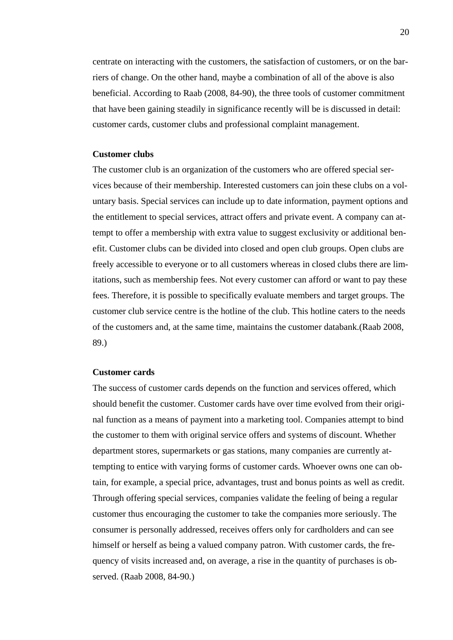centrate on interacting with the customers, the satisfaction of customers, or on the barriers of change. On the other hand, maybe a combination of all of the above is also beneficial. According to Raab (2008, 84-90), the three tools of customer commitment that have been gaining steadily in significance recently will be is discussed in detail: customer cards, customer clubs and professional complaint management.

#### **Customer clubs**

The customer club is an organization of the customers who are offered special services because of their membership. Interested customers can join these clubs on a voluntary basis. Special services can include up to date information, payment options and the entitlement to special services, attract offers and private event. A company can attempt to offer a membership with extra value to suggest exclusivity or additional benefit. Customer clubs can be divided into closed and open club groups. Open clubs are freely accessible to everyone or to all customers whereas in closed clubs there are limitations, such as membership fees. Not every customer can afford or want to pay these fees. Therefore, it is possible to specifically evaluate members and target groups. The customer club service centre is the hotline of the club. This hotline caters to the needs of the customers and, at the same time, maintains the customer databank.(Raab 2008, 89.)

#### **Customer cards**

The success of customer cards depends on the function and services offered, which should benefit the customer. Customer cards have over time evolved from their original function as a means of payment into a marketing tool. Companies attempt to bind the customer to them with original service offers and systems of discount. Whether department stores, supermarkets or gas stations, many companies are currently attempting to entice with varying forms of customer cards. Whoever owns one can obtain, for example, a special price, advantages, trust and bonus points as well as credit. Through offering special services, companies validate the feeling of being a regular customer thus encouraging the customer to take the companies more seriously. The consumer is personally addressed, receives offers only for cardholders and can see himself or herself as being a valued company patron. With customer cards, the frequency of visits increased and, on average, a rise in the quantity of purchases is observed. (Raab 2008, 84-90.)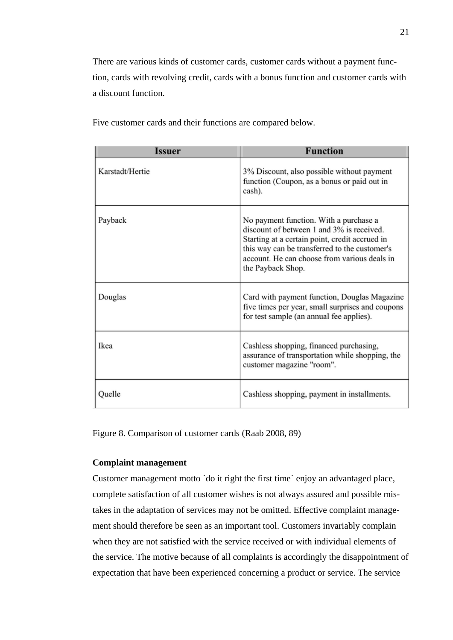There are various kinds of customer cards, customer cards without a payment function, cards with revolving credit, cards with a bonus function and customer cards with a discount function.

| Issuer          | <b>Function</b>                                                                                                                                                                                                                                             |
|-----------------|-------------------------------------------------------------------------------------------------------------------------------------------------------------------------------------------------------------------------------------------------------------|
| Karstadt/Hertie | 3% Discount, also possible without payment<br>function (Coupon, as a bonus or paid out in<br>cash).                                                                                                                                                         |
| Payback         | No payment function. With a purchase a<br>discount of between 1 and 3% is received.<br>Starting at a certain point, credit accrued in<br>this way can be transferred to the customer's<br>account. He can choose from various deals in<br>the Payback Shop. |
| Douglas         | Card with payment function, Douglas Magazine<br>five times per year, small surprises and coupons<br>for test sample (an annual fee applies).                                                                                                                |
| Ikea            | Cashless shopping, financed purchasing,<br>assurance of transportation while shopping, the<br>customer magazine "room".                                                                                                                                     |
| Quelle          | Cashless shopping, payment in installments.                                                                                                                                                                                                                 |

Five customer cards and their functions are compared below.

<span id="page-22-0"></span>Figure 8. Comparison of customer cards (Raab 2008, 89)

#### **Complaint management**

Customer management motto `do it right the first time` enjoy an advantaged place, complete satisfaction of all customer wishes is not always assured and possible mistakes in the adaptation of services may not be omitted. Effective complaint management should therefore be seen as an important tool. Customers invariably complain when they are not satisfied with the service received or with individual elements of the service. The motive because of all complaints is accordingly the disappointment of expectation that have been experienced concerning a product or service. The service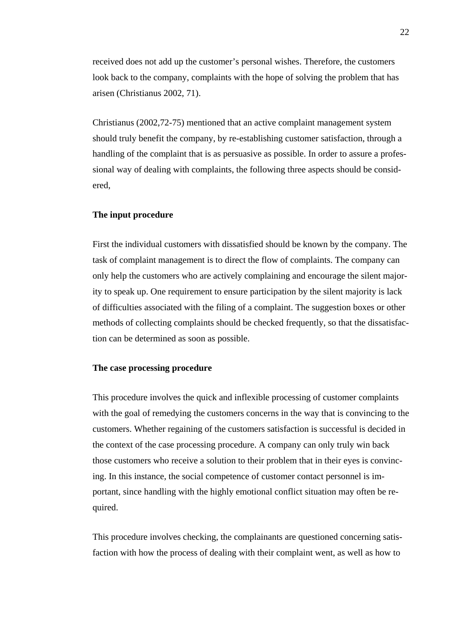received does not add up the customer's personal wishes. Therefore, the customers look back to the company, complaints with the hope of solving the problem that has arisen (Christianus 2002, 71).

Christianus (2002,72-75) mentioned that an active complaint management system should truly benefit the company, by re-establishing customer satisfaction, through a handling of the complaint that is as persuasive as possible. In order to assure a professional way of dealing with complaints, the following three aspects should be considered,

#### **The input procedure**

First the individual customers with dissatisfied should be known by the company. The task of complaint management is to direct the flow of complaints. The company can only help the customers who are actively complaining and encourage the silent majority to speak up. One requirement to ensure participation by the silent majority is lack of difficulties associated with the filing of a complaint. The suggestion boxes or other methods of collecting complaints should be checked frequently, so that the dissatisfaction can be determined as soon as possible.

#### **The case processing procedure**

This procedure involves the quick and inflexible processing of customer complaints with the goal of remedying the customers concerns in the way that is convincing to the customers. Whether regaining of the customers satisfaction is successful is decided in the context of the case processing procedure. A company can only truly win back those customers who receive a solution to their problem that in their eyes is convincing. In this instance, the social competence of customer contact personnel is important, since handling with the highly emotional conflict situation may often be required.

This procedure involves checking, the complainants are questioned concerning satisfaction with how the process of dealing with their complaint went, as well as how to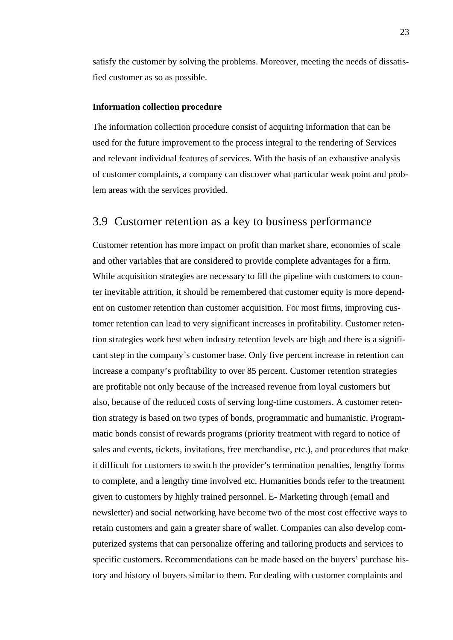satisfy the customer by solving the problems. Moreover, meeting the needs of dissatisfied customer as so as possible.

#### **Information collection procedure**

The information collection procedure consist of acquiring information that can be used for the future improvement to the process integral to the rendering of Services and relevant individual features of services. With the basis of an exhaustive analysis of customer complaints, a company can discover what particular weak point and problem areas with the services provided.

#### <span id="page-24-0"></span>3.9 Customer retention as a key to business performance

Customer retention has more impact on profit than market share, economies of scale and other variables that are considered to provide complete advantages for a firm. While acquisition strategies are necessary to fill the pipeline with customers to counter inevitable attrition, it should be remembered that customer equity is more dependent on customer retention than customer acquisition. For most firms, improving customer retention can lead to very significant increases in profitability. Customer retention strategies work best when industry retention levels are high and there is a significant step in the company`s customer base. Only five percent increase in retention can increase a company's profitability to over 85 percent. Customer retention strategies are profitable not only because of the increased revenue from loyal customers but also, because of the reduced costs of serving long-time customers. A customer retention strategy is based on two types of bonds, programmatic and humanistic. Programmatic bonds consist of rewards programs (priority treatment with regard to notice of sales and events, tickets, invitations, free merchandise, etc.), and procedures that make it difficult for customers to switch the provider's termination penalties, lengthy forms to complete, and a lengthy time involved etc. Humanities bonds refer to the treatment given to customers by highly trained personnel. E- Marketing through (email and newsletter) and social networking have become two of the most cost effective ways to retain customers and gain a greater share of wallet. Companies can also develop computerized systems that can personalize offering and tailoring products and services to specific customers. Recommendations can be made based on the buyers' purchase history and history of buyers similar to them. For dealing with customer complaints and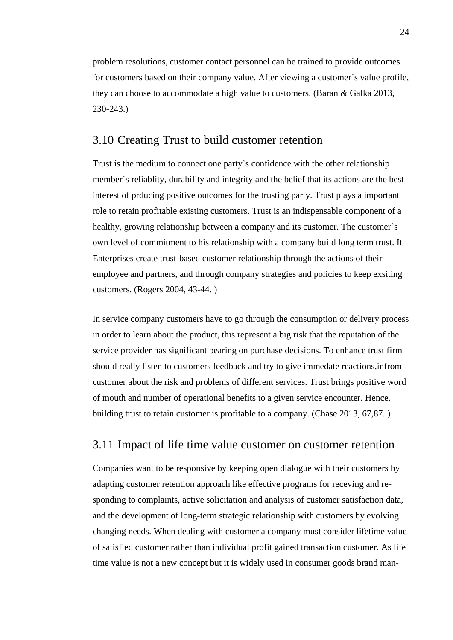problem resolutions, customer contact personnel can be trained to provide outcomes for customers based on their company value. After viewing a customer´s value profile, they can choose to accommodate a high value to customers. (Baran & Galka 2013, 230-243.)

### <span id="page-25-0"></span>3.10 Creating Trust to build customer retention

Trust is the medium to connect one party`s confidence with the other relationship member`s reliablity, durability and integrity and the belief that its actions are the best interest of prducing positive outcomes for the trusting party. Trust plays a important role to retain profitable existing customers. Trust is an indispensable component of a healthy, growing relationship between a company and its customer. The customer`s own level of commitment to his relationship with a company build long term trust. It Enterprises create trust-based customer relationship through the actions of their employee and partners, and through company strategies and policies to keep exsiting customers. (Rogers 2004, 43-44. )

In service company customers have to go through the consumption or delivery process in order to learn about the product, this represent a big risk that the reputation of the service provider has significant bearing on purchase decisions. To enhance trust firm should really listen to customers feedback and try to give immedate reactions,infrom customer about the risk and problems of different services. Trust brings positive word of mouth and number of operational benefits to a given service encounter. Hence, building trust to retain customer is profitable to a company. (Chase 2013, 67,87. )

### <span id="page-25-1"></span>3.11 Impact of life time value customer on customer retention

Companies want to be responsive by keeping open dialogue with their customers by adapting customer retention approach like effective programs for receving and responding to complaints, active solicitation and analysis of customer satisfaction data, and the development of long-term strategic relationship with customers by evolving changing needs. When dealing with customer a company must consider lifetime value of satisfied customer rather than individual profit gained transaction customer. As life time value is not a new concept but it is widely used in consumer goods brand man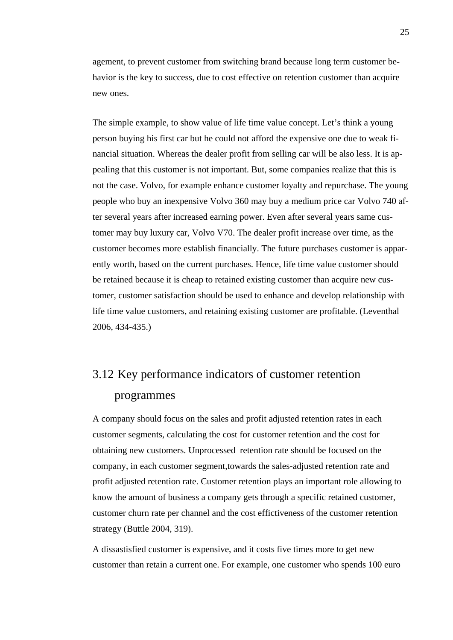agement, to prevent customer from switching brand because long term customer behavior is the key to success, due to cost effective on retention customer than acquire new ones.

The simple example, to show value of life time value concept. Let's think a young person buying his first car but he could not afford the expensive one due to weak financial situation. Whereas the dealer profit from selling car will be also less. It is appealing that this customer is not important. But, some companies realize that this is not the case. Volvo, for example enhance customer loyalty and repurchase. The young people who buy an inexpensive Volvo 360 may buy a medium price car Volvo 740 after several years after increased earning power. Even after several years same customer may buy luxury car, Volvo V70. The dealer profit increase over time, as the customer becomes more establish financially. The future purchases customer is apparently worth, based on the current purchases. Hence, life time value customer should be retained because it is cheap to retained existing customer than acquire new customer, customer satisfaction should be used to enhance and develop relationship with life time value customers, and retaining existing customer are profitable. (Leventhal 2006, 434-435.)

# <span id="page-26-0"></span>3.12 Key performance indicators of customer retention programmes

A company should focus on the sales and profit adjusted retention rates in each customer segments, calculating the cost for customer retention and the cost for obtaining new customers. Unprocessed retention rate should be focused on the company, in each customer segment,towards the sales-adjusted retention rate and profit adjusted retention rate. Customer retention plays an important role allowing to know the amount of business a company gets through a specific retained customer, customer churn rate per channel and the cost effictiveness of the customer retention strategy (Buttle 2004, 319).

A dissastisfied customer is expensive, and it costs five times more to get new customer than retain a current one. For example, one customer who spends 100 euro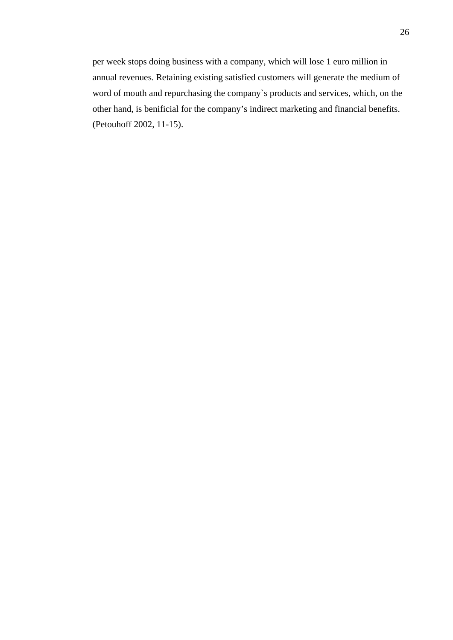per week stops doing business with a company, which will lose 1 euro million in annual revenues. Retaining existing satisfied customers will generate the medium of word of mouth and repurchasing the company`s products and services, which, on the other hand, is benificial for the company's indirect marketing and financial benefits. (Petouhoff 2002, 11-15).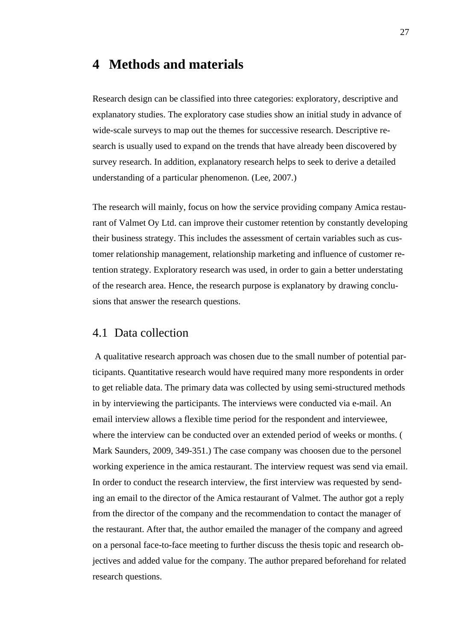### <span id="page-28-0"></span>**4 Methods and materials**

Research design can be classified into three categories: exploratory, descriptive and explanatory studies. The exploratory case studies show an initial study in advance of wide-scale surveys to map out the themes for successive research. Descriptive research is usually used to expand on the trends that have already been discovered by survey research. In addition, explanatory research helps to seek to derive a detailed understanding of a particular phenomenon. (Lee, 2007.)

The research will mainly, focus on how the service providing company Amica restaurant of Valmet Oy Ltd. can improve their customer retention by constantly developing their business strategy. This includes the assessment of certain variables such as customer relationship management, relationship marketing and influence of customer retention strategy. Exploratory research was used, in order to gain a better understating of the research area. Hence, the research purpose is explanatory by drawing conclusions that answer the research questions.

### <span id="page-28-1"></span>4.1 Data collection

A qualitative research approach was chosen due to the small number of potential participants. Quantitative research would have required many more respondents in order to get reliable data. The primary data was collected by using semi-structured methods in by interviewing the participants. The interviews were conducted via e-mail. An email interview allows a flexible time period for the respondent and interviewee, where the interview can be conducted over an extended period of weeks or months. ( Mark Saunders, 2009, 349-351.) The case company was choosen due to the personel working experience in the amica restaurant. The interview request was send via email. In order to conduct the research interview, the first interview was requested by sending an email to the director of the Amica restaurant of Valmet. The author got a reply from the director of the company and the recommendation to contact the manager of the restaurant. After that, the author emailed the manager of the company and agreed on a personal face-to-face meeting to further discuss the thesis topic and research objectives and added value for the company. The author prepared beforehand for related research questions.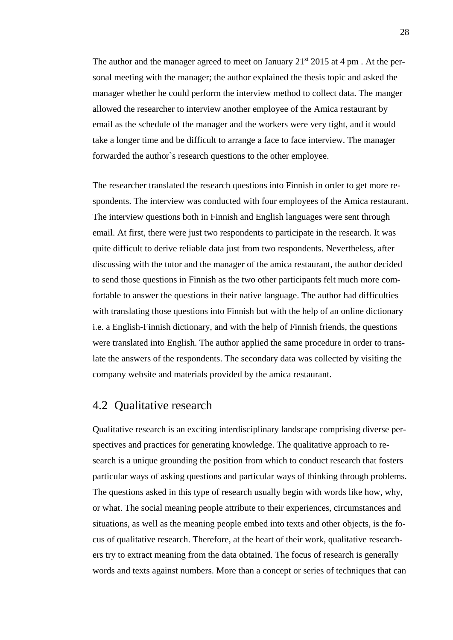The author and the manager agreed to meet on January  $21<sup>st</sup> 2015$  at 4 pm. At the personal meeting with the manager; the author explained the thesis topic and asked the manager whether he could perform the interview method to collect data. The manger allowed the researcher to interview another employee of the Amica restaurant by email as the schedule of the manager and the workers were very tight, and it would take a longer time and be difficult to arrange a face to face interview. The manager forwarded the author`s research questions to the other employee.

The researcher translated the research questions into Finnish in order to get more respondents. The interview was conducted with four employees of the Amica restaurant. The interview questions both in Finnish and English languages were sent through email. At first, there were just two respondents to participate in the research. It was quite difficult to derive reliable data just from two respondents. Nevertheless, after discussing with the tutor and the manager of the amica restaurant, the author decided to send those questions in Finnish as the two other participants felt much more comfortable to answer the questions in their native language. The author had difficulties with translating those questions into Finnish but with the help of an online dictionary i.e. a English-Finnish dictionary, and with the help of Finnish friends, the questions were translated into English. The author applied the same procedure in order to translate the answers of the respondents. The secondary data was collected by visiting the company website and materials provided by the amica restaurant.

### <span id="page-29-0"></span>4.2 Qualitative research

Qualitative research is an exciting interdisciplinary landscape comprising diverse perspectives and practices for generating knowledge. The qualitative approach to research is a unique grounding the position from which to conduct research that fosters particular ways of asking questions and particular ways of thinking through problems. The questions asked in this type of research usually begin with words like how, why, or what. The social meaning people attribute to their experiences, circumstances and situations, as well as the meaning people embed into texts and other objects, is the focus of qualitative research. Therefore, at the heart of their work, qualitative researchers try to extract meaning from the data obtained. The focus of research is generally words and texts against numbers. More than a concept or series of techniques that can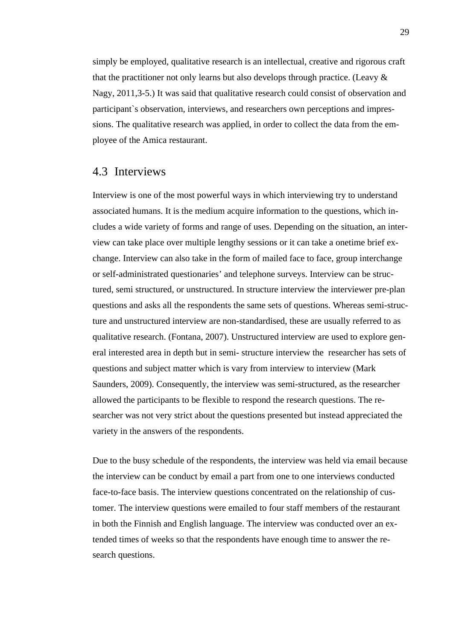simply be employed, qualitative research is an intellectual, creative and rigorous craft that the practitioner not only learns but also develops through practice. (Leavy & Nagy, 2011,3-5.) It was said that qualitative research could consist of observation and participant`s observation, interviews, and researchers own perceptions and impressions. The qualitative research was applied, in order to collect the data from the employee of the Amica restaurant.

### <span id="page-30-0"></span>4.3 Interviews

Interview is one of the most powerful ways in which interviewing try to understand associated humans. It is the medium acquire information to the questions, which includes a wide variety of forms and range of uses. Depending on the situation, an interview can take place over multiple lengthy sessions or it can take a onetime brief exchange. Interview can also take in the form of mailed face to face, group interchange or self-administrated questionaries' and telephone surveys. Interview can be structured, semi structured, or unstructured. In structure interview the interviewer pre-plan questions and asks all the respondents the same sets of questions. Whereas semi-structure and unstructured interview are non-standardised, these are usually referred to as qualitative research. (Fontana, 2007). Unstructured interview are used to explore general interested area in depth but in semi- structure interview the researcher has sets of questions and subject matter which is vary from interview to interview (Mark Saunders, 2009). Consequently, the interview was semi-structured, as the researcher allowed the participants to be flexible to respond the research questions. The researcher was not very strict about the questions presented but instead appreciated the variety in the answers of the respondents.

Due to the busy schedule of the respondents, the interview was held via email because the interview can be conduct by email a part from one to one interviews conducted face-to-face basis. The interview questions concentrated on the relationship of customer. The interview questions were emailed to four staff members of the restaurant in both the Finnish and English language. The interview was conducted over an extended times of weeks so that the respondents have enough time to answer the research questions.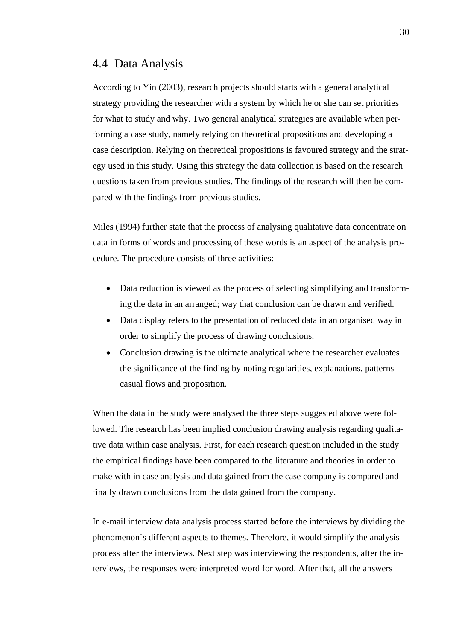### <span id="page-31-0"></span>4.4 Data Analysis

According to Yin (2003), research projects should starts with a general analytical strategy providing the researcher with a system by which he or she can set priorities for what to study and why. Two general analytical strategies are available when performing a case study, namely relying on theoretical propositions and developing a case description. Relying on theoretical propositions is favoured strategy and the strategy used in this study. Using this strategy the data collection is based on the research questions taken from previous studies. The findings of the research will then be compared with the findings from previous studies.

Miles (1994) further state that the process of analysing qualitative data concentrate on data in forms of words and processing of these words is an aspect of the analysis procedure. The procedure consists of three activities:

- Data reduction is viewed as the process of selecting simplifying and transforming the data in an arranged; way that conclusion can be drawn and verified.
- Data display refers to the presentation of reduced data in an organised way in order to simplify the process of drawing conclusions.
- Conclusion drawing is the ultimate analytical where the researcher evaluates the significance of the finding by noting regularities, explanations, patterns casual flows and proposition.

When the data in the study were analysed the three steps suggested above were followed. The research has been implied conclusion drawing analysis regarding qualitative data within case analysis. First, for each research question included in the study the empirical findings have been compared to the literature and theories in order to make with in case analysis and data gained from the case company is compared and finally drawn conclusions from the data gained from the company.

In e-mail interview data analysis process started before the interviews by dividing the phenomenon`s different aspects to themes. Therefore, it would simplify the analysis process after the interviews. Next step was interviewing the respondents, after the interviews, the responses were interpreted word for word. After that, all the answers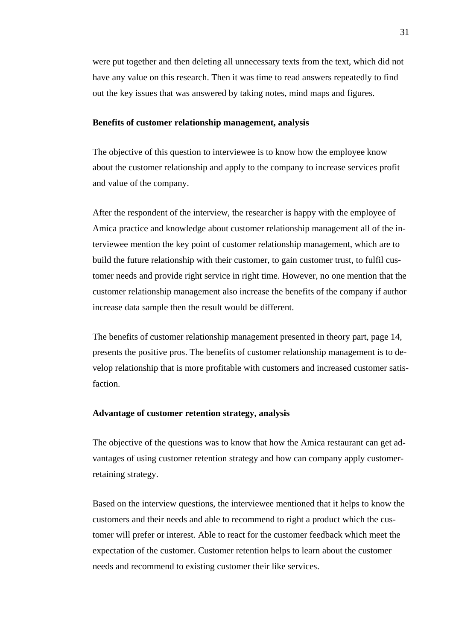were put together and then deleting all unnecessary texts from the text, which did not have any value on this research. Then it was time to read answers repeatedly to find out the key issues that was answered by taking notes, mind maps and figures.

#### **Benefits of customer relationship management, analysis**

The objective of this question to interviewee is to know how the employee know about the customer relationship and apply to the company to increase services profit and value of the company.

After the respondent of the interview, the researcher is happy with the employee of Amica practice and knowledge about customer relationship management all of the interviewee mention the key point of customer relationship management, which are to build the future relationship with their customer, to gain customer trust, to fulfil customer needs and provide right service in right time. However, no one mention that the customer relationship management also increase the benefits of the company if author increase data sample then the result would be different.

The benefits of customer relationship management presented in theory part, page 14, presents the positive pros. The benefits of customer relationship management is to develop relationship that is more profitable with customers and increased customer satisfaction.

#### **Advantage of customer retention strategy, analysis**

The objective of the questions was to know that how the Amica restaurant can get advantages of using customer retention strategy and how can company apply customerretaining strategy.

Based on the interview questions, the interviewee mentioned that it helps to know the customers and their needs and able to recommend to right a product which the customer will prefer or interest. Able to react for the customer feedback which meet the expectation of the customer. Customer retention helps to learn about the customer needs and recommend to existing customer their like services.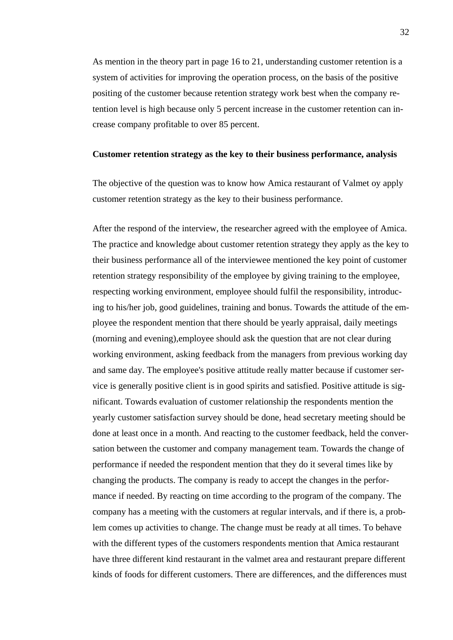As mention in the theory part in page 16 to 21, understanding customer retention is a system of activities for improving the operation process, on the basis of the positive positing of the customer because retention strategy work best when the company retention level is high because only 5 percent increase in the customer retention can increase company profitable to over 85 percent.

#### **Customer retention strategy as the key to their business performance, analysis**

The objective of the question was to know how Amica restaurant of Valmet oy apply customer retention strategy as the key to their business performance.

After the respond of the interview, the researcher agreed with the employee of Amica. The practice and knowledge about customer retention strategy they apply as the key to their business performance all of the interviewee mentioned the key point of customer retention strategy responsibility of the employee by giving training to the employee, respecting working environment, employee should fulfil the responsibility, introducing to his/her job, good guidelines, training and bonus. Towards the attitude of the employee the respondent mention that there should be yearly appraisal, daily meetings (morning and evening),employee should ask the question that are not clear during working environment, asking feedback from the managers from previous working day and same day. The employee's positive attitude really matter because if customer service is generally positive client is in good spirits and satisfied. Positive attitude is significant. Towards evaluation of customer relationship the respondents mention the yearly customer satisfaction survey should be done, head secretary meeting should be done at least once in a month. And reacting to the customer feedback, held the conversation between the customer and company management team. Towards the change of performance if needed the respondent mention that they do it several times like by changing the products. The company is ready to accept the changes in the performance if needed. By reacting on time according to the program of the company. The company has a meeting with the customers at regular intervals, and if there is, a problem comes up activities to change. The change must be ready at all times. To behave with the different types of the customers respondents mention that Amica restaurant have three different kind restaurant in the valmet area and restaurant prepare different kinds of foods for different customers. There are differences, and the differences must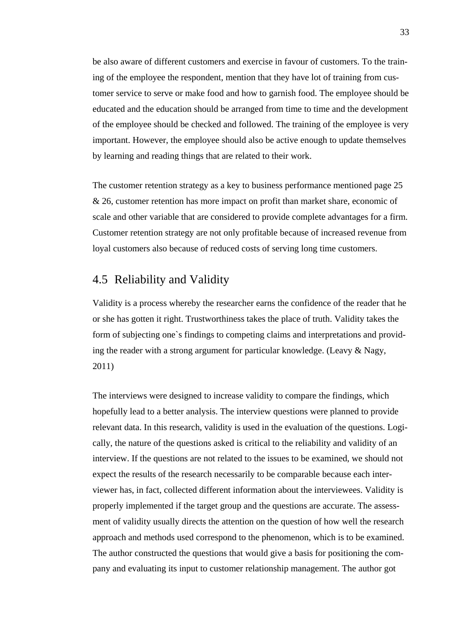be also aware of different customers and exercise in favour of customers. To the training of the employee the respondent, mention that they have lot of training from customer service to serve or make food and how to garnish food. The employee should be educated and the education should be arranged from time to time and the development of the employee should be checked and followed. The training of the employee is very important. However, the employee should also be active enough to update themselves by learning and reading things that are related to their work.

The customer retention strategy as a key to business performance mentioned page 25 & 26, customer retention has more impact on profit than market share, economic of scale and other variable that are considered to provide complete advantages for a firm. Customer retention strategy are not only profitable because of increased revenue from loyal customers also because of reduced costs of serving long time customers.

### <span id="page-34-0"></span>4.5 Reliability and Validity

Validity is a process whereby the researcher earns the confidence of the reader that he or she has gotten it right. Trustworthiness takes the place of truth. Validity takes the form of subjecting one`s findings to competing claims and interpretations and providing the reader with a strong argument for particular knowledge. (Leavy & Nagy, 2011)

The interviews were designed to increase validity to compare the findings, which hopefully lead to a better analysis. The interview questions were planned to provide relevant data. In this research, validity is used in the evaluation of the questions. Logically, the nature of the questions asked is critical to the reliability and validity of an interview. If the questions are not related to the issues to be examined, we should not expect the results of the research necessarily to be comparable because each interviewer has, in fact, collected different information about the interviewees. Validity is properly implemented if the target group and the questions are accurate. The assessment of validity usually directs the attention on the question of how well the research approach and methods used correspond to the phenomenon, which is to be examined. The author constructed the questions that would give a basis for positioning the company and evaluating its input to customer relationship management. The author got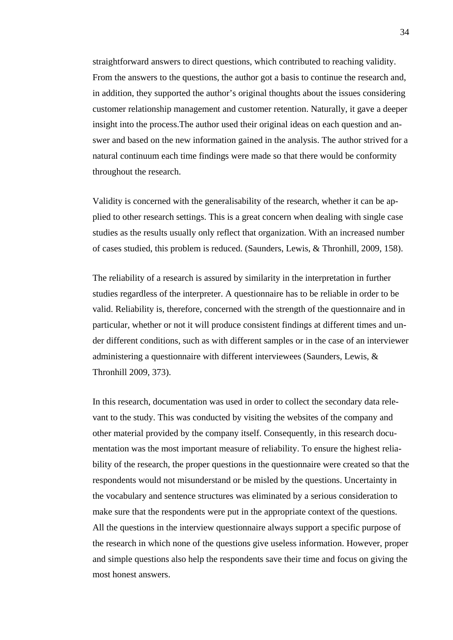straightforward answers to direct questions, which contributed to reaching validity. From the answers to the questions, the author got a basis to continue the research and, in addition, they supported the author's original thoughts about the issues considering customer relationship management and customer retention. Naturally, it gave a deeper insight into the process.The author used their original ideas on each question and answer and based on the new information gained in the analysis. The author strived for a natural continuum each time findings were made so that there would be conformity throughout the research.

Validity is concerned with the generalisability of the research, whether it can be applied to other research settings. This is a great concern when dealing with single case studies as the results usually only reflect that organization. With an increased number of cases studied, this problem is reduced. (Saunders, Lewis, & Thronhill, 2009, 158).

The reliability of a research is assured by similarity in the interpretation in further studies regardless of the interpreter. A questionnaire has to be reliable in order to be valid. Reliability is, therefore, concerned with the strength of the questionnaire and in particular, whether or not it will produce consistent findings at different times and under different conditions, such as with different samples or in the case of an interviewer administering a questionnaire with different interviewees (Saunders, Lewis, & Thronhill 2009, 373).

In this research, documentation was used in order to collect the secondary data relevant to the study. This was conducted by visiting the websites of the company and other material provided by the company itself. Consequently, in this research documentation was the most important measure of reliability. To ensure the highest reliability of the research, the proper questions in the questionnaire were created so that the respondents would not misunderstand or be misled by the questions. Uncertainty in the vocabulary and sentence structures was eliminated by a serious consideration to make sure that the respondents were put in the appropriate context of the questions. All the questions in the interview questionnaire always support a specific purpose of the research in which none of the questions give useless information. However, proper and simple questions also help the respondents save their time and focus on giving the most honest answers.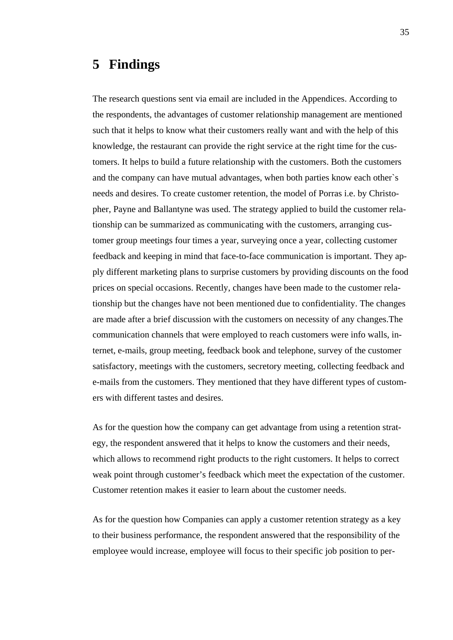# <span id="page-36-0"></span>**5 Findings**

The research questions sent via email are included in the Appendices. According to the respondents, the advantages of customer relationship management are mentioned such that it helps to know what their customers really want and with the help of this knowledge, the restaurant can provide the right service at the right time for the customers. It helps to build a future relationship with the customers. Both the customers and the company can have mutual advantages, when both parties know each other`s needs and desires. To create customer retention, the model of Porras i.e. by Christopher, Payne and Ballantyne was used. The strategy applied to build the customer relationship can be summarized as communicating with the customers, arranging customer group meetings four times a year, surveying once a year, collecting customer feedback and keeping in mind that face-to-face communication is important. They apply different marketing plans to surprise customers by providing discounts on the food prices on special occasions. Recently, changes have been made to the customer relationship but the changes have not been mentioned due to confidentiality. The changes are made after a brief discussion with the customers on necessity of any changes.The communication channels that were employed to reach customers were info walls, internet, e-mails, group meeting, feedback book and telephone, survey of the customer satisfactory, meetings with the customers, secretory meeting, collecting feedback and e-mails from the customers. They mentioned that they have different types of customers with different tastes and desires.

As for the question how the company can get advantage from using a retention strategy, the respondent answered that it helps to know the customers and their needs, which allows to recommend right products to the right customers. It helps to correct weak point through customer's feedback which meet the expectation of the customer. Customer retention makes it easier to learn about the customer needs.

As for the question how Companies can apply a customer retention strategy as a key to their business performance, the respondent answered that the responsibility of the employee would increase, employee will focus to their specific job position to per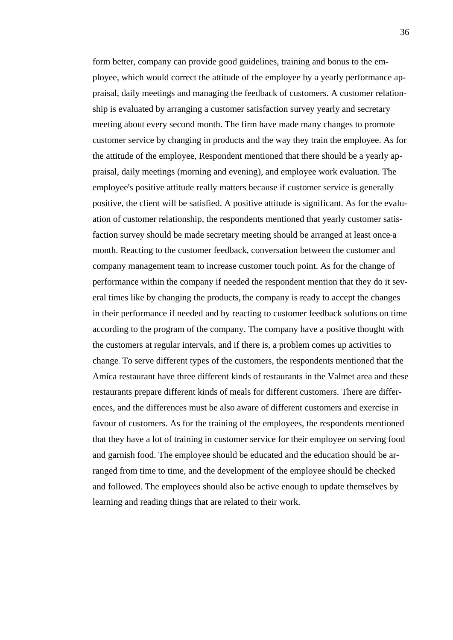form better, company can provide good guidelines, training and bonus to the employee, which would correct the attitude of the employee by a yearly performance appraisal, daily meetings and managing the feedback of customers. A customer relationship is evaluated by arranging a customer satisfaction survey yearly and secretary meeting about every second month. The firm have made many changes to promote customer service by changing in products and the way they train the employee. As for the attitude of the employee, Respondent mentioned that there should be a yearly appraisal, daily meetings (morning and evening), and employee work evaluation. The employee's positive attitude really matters because if customer service is generally positive, the client will be satisfied. A positive attitude is significant. As for the evaluation of customer relationship, the respondents mentioned that yearly customer satisfaction survey should be made secretary meeting should be arranged at least once a month. Reacting to the customer feedback, conversation between the customer and company management team to increase customer touch point. As for the change of performance within the company if needed the respondent mention that they do it several times like by changing the products, the company is ready to accept the changes in their performance if needed and by reacting to customer feedback solutions on time according to the program of the company. The company have a positive thought with the customers at regular intervals, and if there is, a problem comes up activities to change. To serve different types of the customers, the respondents mentioned that the Amica restaurant have three different kinds of restaurants in the Valmet area and these restaurants prepare different kinds of meals for different customers. There are differences, and the differences must be also aware of different customers and exercise in favour of customers. As for the training of the employees, the respondents mentioned that they have a lot of training in customer service for their employee on serving food and garnish food. The employee should be educated and the education should be arranged from time to time, and the development of the employee should be checked and followed. The employees should also be active enough to update themselves by learning and reading things that are related to their work.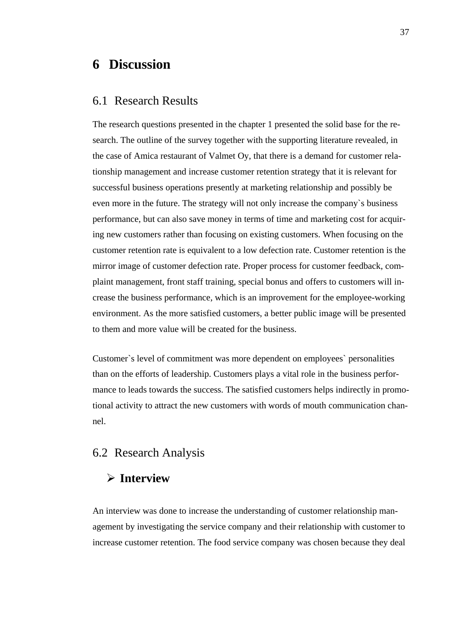# <span id="page-38-0"></span>**6 Discussion**

### <span id="page-38-1"></span>6.1 Research Results

The research questions presented in the chapter 1 presented the solid base for the research. The outline of the survey together with the supporting literature revealed, in the case of Amica restaurant of Valmet Oy, that there is a demand for customer relationship management and increase customer retention strategy that it is relevant for successful business operations presently at marketing relationship and possibly be even more in the future. The strategy will not only increase the company`s business performance, but can also save money in terms of time and marketing cost for acquiring new customers rather than focusing on existing customers. When focusing on the customer retention rate is equivalent to a low defection rate. Customer retention is the mirror image of customer defection rate. Proper process for customer feedback, complaint management, front staff training, special bonus and offers to customers will increase the business performance, which is an improvement for the employee-working environment. As the more satisfied customers, a better public image will be presented to them and more value will be created for the business.

Customer`s level of commitment was more dependent on employees` personalities than on the efforts of leadership. Customers plays a vital role in the business performance to leads towards the success. The satisfied customers helps indirectly in promotional activity to attract the new customers with words of mouth communication channel.

### <span id="page-38-2"></span>6.2 Research Analysis

### **Interview**

An interview was done to increase the understanding of customer relationship management by investigating the service company and their relationship with customer to increase customer retention. The food service company was chosen because they deal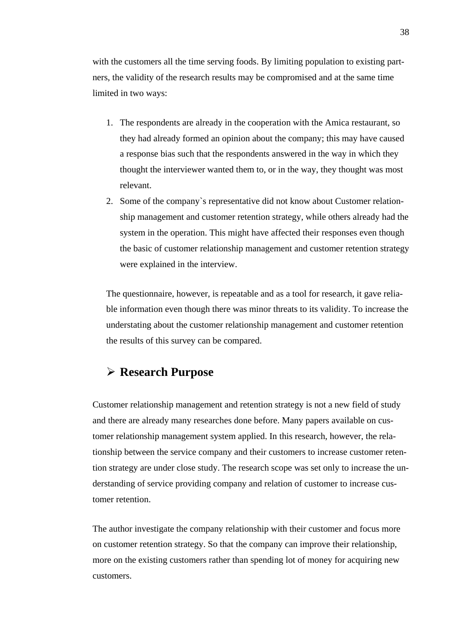with the customers all the time serving foods. By limiting population to existing partners, the validity of the research results may be compromised and at the same time limited in two ways:

- 1. The respondents are already in the cooperation with the Amica restaurant, so they had already formed an opinion about the company; this may have caused a response bias such that the respondents answered in the way in which they thought the interviewer wanted them to, or in the way, they thought was most relevant.
- 2. Some of the company`s representative did not know about Customer relationship management and customer retention strategy, while others already had the system in the operation. This might have affected their responses even though the basic of customer relationship management and customer retention strategy were explained in the interview.

The questionnaire, however, is repeatable and as a tool for research, it gave reliable information even though there was minor threats to its validity. To increase the understating about the customer relationship management and customer retention the results of this survey can be compared.

### **Research Purpose**

Customer relationship management and retention strategy is not a new field of study and there are already many researches done before. Many papers available on customer relationship management system applied. In this research, however, the relationship between the service company and their customers to increase customer retention strategy are under close study. The research scope was set only to increase the understanding of service providing company and relation of customer to increase customer retention.

The author investigate the company relationship with their customer and focus more on customer retention strategy. So that the company can improve their relationship, more on the existing customers rather than spending lot of money for acquiring new customers.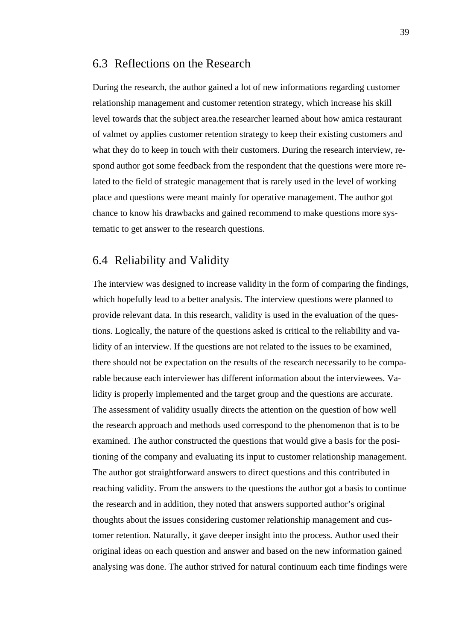### <span id="page-40-0"></span>6.3 Reflections on the Research

During the research, the author gained a lot of new informations regarding customer relationship management and customer retention strategy, which increase his skill level towards that the subject area.the researcher learned about how amica restaurant of valmet oy applies customer retention strategy to keep their existing customers and what they do to keep in touch with their customers. During the research interview, respond author got some feedback from the respondent that the questions were more related to the field of strategic management that is rarely used in the level of working place and questions were meant mainly for operative management. The author got chance to know his drawbacks and gained recommend to make questions more systematic to get answer to the research questions.

### <span id="page-40-1"></span>6.4 Reliability and Validity

The interview was designed to increase validity in the form of comparing the findings, which hopefully lead to a better analysis. The interview questions were planned to provide relevant data. In this research, validity is used in the evaluation of the questions. Logically, the nature of the questions asked is critical to the reliability and validity of an interview. If the questions are not related to the issues to be examined, there should not be expectation on the results of the research necessarily to be comparable because each interviewer has different information about the interviewees. Validity is properly implemented and the target group and the questions are accurate. The assessment of validity usually directs the attention on the question of how well the research approach and methods used correspond to the phenomenon that is to be examined. The author constructed the questions that would give a basis for the positioning of the company and evaluating its input to customer relationship management. The author got straightforward answers to direct questions and this contributed in reaching validity. From the answers to the questions the author got a basis to continue the research and in addition, they noted that answers supported author's original thoughts about the issues considering customer relationship management and customer retention. Naturally, it gave deeper insight into the process. Author used their original ideas on each question and answer and based on the new information gained analysing was done. The author strived for natural continuum each time findings were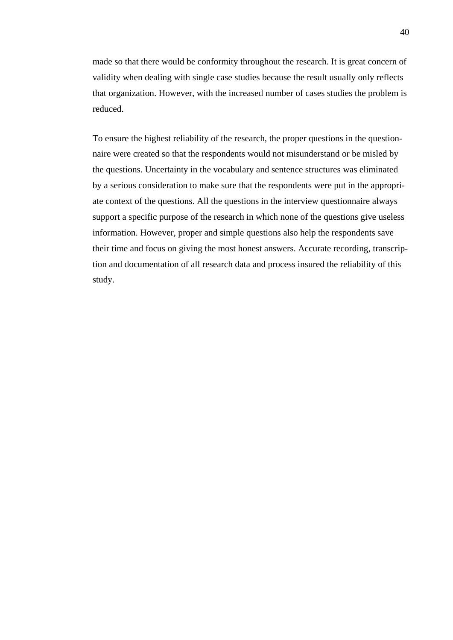made so that there would be conformity throughout the research. It is great concern of validity when dealing with single case studies because the result usually only reflects that organization. However, with the increased number of cases studies the problem is reduced.

To ensure the highest reliability of the research, the proper questions in the questionnaire were created so that the respondents would not misunderstand or be misled by the questions. Uncertainty in the vocabulary and sentence structures was eliminated by a serious consideration to make sure that the respondents were put in the appropriate context of the questions. All the questions in the interview questionnaire always support a specific purpose of the research in which none of the questions give useless information. However, proper and simple questions also help the respondents save their time and focus on giving the most honest answers. Accurate recording, transcription and documentation of all research data and process insured the reliability of this study.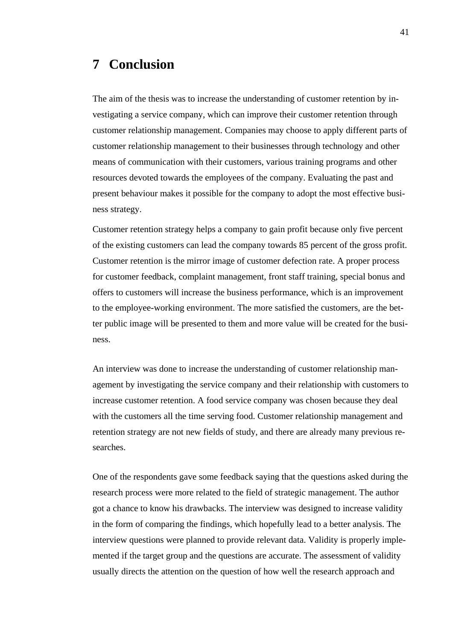# <span id="page-42-0"></span>**7 Conclusion**

The aim of the thesis was to increase the understanding of customer retention by investigating a service company, which can improve their customer retention through customer relationship management. Companies may choose to apply different parts of customer relationship management to their businesses through technology and other means of communication with their customers, various training programs and other resources devoted towards the employees of the company. Evaluating the past and present behaviour makes it possible for the company to adopt the most effective business strategy.

Customer retention strategy helps a company to gain profit because only five percent of the existing customers can lead the company towards 85 percent of the gross profit. Customer retention is the mirror image of customer defection rate. A proper process for customer feedback, complaint management, front staff training, special bonus and offers to customers will increase the business performance, which is an improvement to the employee-working environment. The more satisfied the customers, are the better public image will be presented to them and more value will be created for the business.

An interview was done to increase the understanding of customer relationship management by investigating the service company and their relationship with customers to increase customer retention. A food service company was chosen because they deal with the customers all the time serving food. Customer relationship management and retention strategy are not new fields of study, and there are already many previous researches.

One of the respondents gave some feedback saying that the questions asked during the research process were more related to the field of strategic management. The author got a chance to know his drawbacks. The interview was designed to increase validity in the form of comparing the findings, which hopefully lead to a better analysis. The interview questions were planned to provide relevant data. Validity is properly implemented if the target group and the questions are accurate. The assessment of validity usually directs the attention on the question of how well the research approach and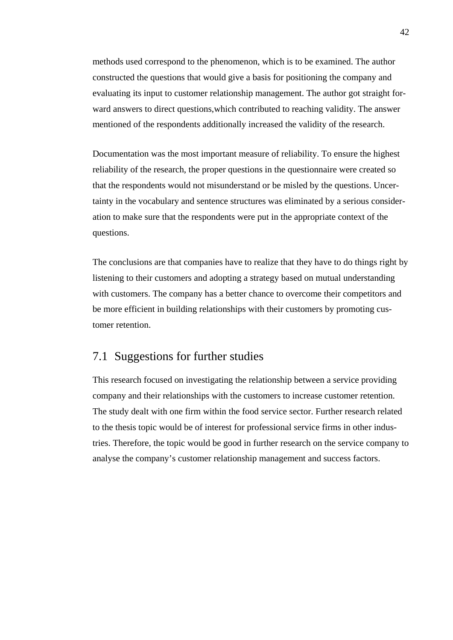methods used correspond to the phenomenon, which is to be examined. The author constructed the questions that would give a basis for positioning the company and evaluating its input to customer relationship management. The author got straight forward answers to direct questions,which contributed to reaching validity. The answer mentioned of the respondents additionally increased the validity of the research.

Documentation was the most important measure of reliability. To ensure the highest reliability of the research, the proper questions in the questionnaire were created so that the respondents would not misunderstand or be misled by the questions. Uncertainty in the vocabulary and sentence structures was eliminated by a serious consideration to make sure that the respondents were put in the appropriate context of the questions.

The conclusions are that companies have to realize that they have to do things right by listening to their customers and adopting a strategy based on mutual understanding with customers. The company has a better chance to overcome their competitors and be more efficient in building relationships with their customers by promoting customer retention.

### <span id="page-43-0"></span>7.1 Suggestions for further studies

This research focused on investigating the relationship between a service providing company and their relationships with the customers to increase customer retention. The study dealt with one firm within the food service sector. Further research related to the thesis topic would be of interest for professional service firms in other industries. Therefore, the topic would be good in further research on the service company to analyse the company's customer relationship management and success factors.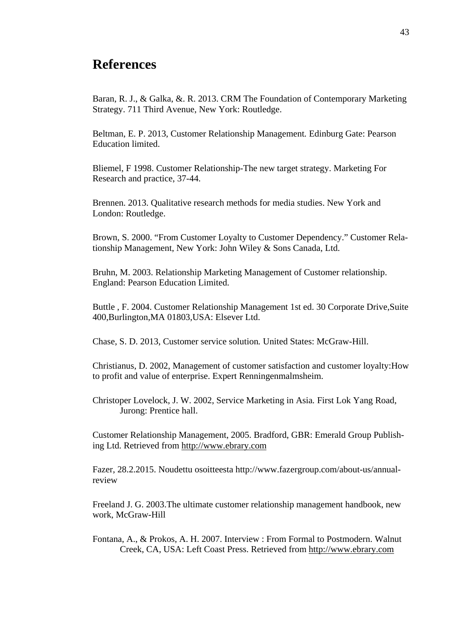# <span id="page-44-0"></span>**References**

Baran, R. J., & Galka, &. R. 2013. CRM The Foundation of Contemporary Marketing Strategy. 711 Third Avenue, New York: Routledge.

Beltman, E. P. 2013, Customer Relationship Management*.* Edinburg Gate: Pearson Education limited.

Bliemel, F 1998. Customer Relationship-The new target strategy. Marketing For Research and practice, 37-44.

Brennen. 2013. Qualitative research methods for media studies. New York and London: Routledge.

Brown, S. 2000. "From Customer Loyalty to Customer Dependency." Customer Relationship Management, New York: John Wiley & Sons Canada, Ltd.

Bruhn, M. 2003. Relationship Marketing Management of Customer relationship. England: Pearson Education Limited.

Buttle , F. 2004. Customer Relationship Management 1st ed. 30 Corporate Drive,Suite 400,Burlington,MA 01803,USA: Elsever Ltd.

Chase, S. D. 2013, Customer service solution*.* United States: McGraw-Hill.

Christianus, D. 2002, Management of customer satisfaction and customer loyalty:How to profit and value of enterprise. Expert Renningenmalmsheim.

Christoper Lovelock, J. W. 2002, Service Marketing in Asia*.* First Lok Yang Road, Jurong: Prentice hall.

Customer Relationship Management, 2005. Bradford, GBR: Emerald Group Publishing Ltd. Retrieved from [http://www.ebrary.com](http://www.ebrary.com/)

Fazer, 28.2.2015. Noudettu osoitteesta http://www.fazergroup.com/about-us/annualreview

Freeland J. G. 2003.The ultimate customer relationship management handbook, new work, McGraw-Hill

Fontana, A., & Prokos, A. H. 2007. Interview : From Formal to Postmodern. Walnut Creek, CA, USA: Left Coast Press. Retrieved from [http://www.ebrary.com](http://www.ebrary.com/)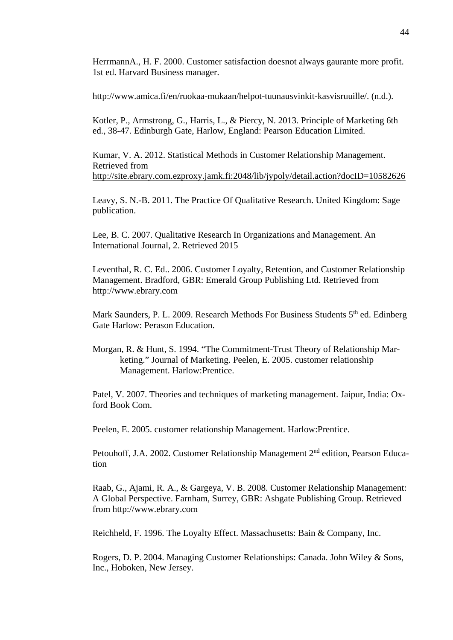HerrmannA., H. F. 2000. Customer satisfaction doesnot always gaurante more profit. 1st ed. Harvard Business manager.

http://www.amica.fi/en/ruokaa-mukaan/helpot-tuunausvinkit-kasvisruuille/. (n.d.).

Kotler, P., Armstrong, G., Harris, L., & Piercy, N. 2013. Principle of Marketing 6th ed., 38-47. Edinburgh Gate, Harlow, England: Pearson Education Limited.

Kumar, V. A. 2012. Statistical Methods in Customer Relationship Management. Retrieved from <http://site.ebrary.com.ezproxy.jamk.fi:2048/lib/jypoly/detail.action?docID=10582626>

Leavy, S. N.-B. 2011. The Practice Of Qualitative Research. United Kingdom: Sage publication.

Lee, B. C. 2007. Qualitative Research In Organizations and Management. An International Journal, 2. Retrieved 2015

Leventhal, R. C. Ed.. 2006. Customer Loyalty, Retention, and Customer Relationship Management. Bradford, GBR: Emerald Group Publishing Ltd. Retrieved from http://www.ebrary.com

Mark Saunders, P. L. 2009. Research Methods For Business Students 5<sup>th</sup> ed. Edinberg Gate Harlow: Perason Education.

Morgan, R. & Hunt, S. 1994. "The Commitment-Trust Theory of Relationship Marketing." Journal of Marketing. Peelen, E. 2005. customer relationship Management. Harlow:Prentice.

Patel, V. 2007. Theories and techniques of marketing management. Jaipur, India: Oxford Book Com.

Peelen, E. 2005. customer relationship Management*.* Harlow:Prentice.

Petouhoff, J.A. 2002. Customer Relationship Management 2<sup>nd</sup> edition, Pearson Education

Raab, G., Ajami, R. A., & Gargeya, V. B. 2008. Customer Relationship Management: A Global Perspective. Farnham, Surrey, GBR: Ashgate Publishing Group. Retrieved from http://www.ebrary.com

Reichheld, F. 1996. The Loyalty Effect. Massachusetts: Bain & Company, Inc.

Rogers, D. P. 2004. Managing Customer Relationships: Canada. John Wiley & Sons, Inc., Hoboken, New Jersey.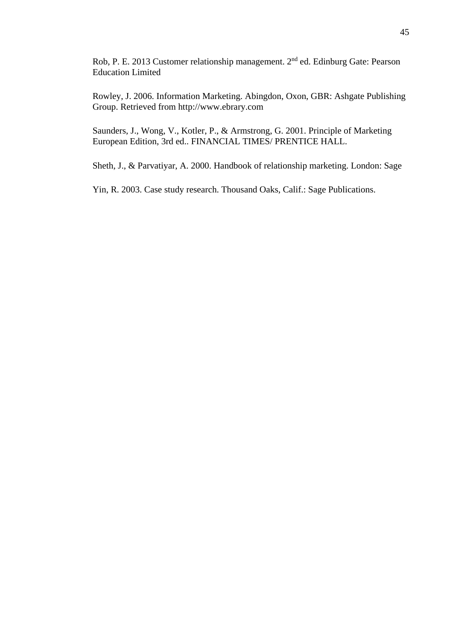Rob, P. E. 2013 Customer relationship management. 2<sup>nd</sup> ed. Edinburg Gate: Pearson Education Limited

Rowley, J. 2006. Information Marketing. Abingdon, Oxon, GBR: Ashgate Publishing Group. Retrieved from http://www.ebrary.com

Saunders, J., Wong, V., Kotler, P., & Armstrong, G. 2001. Principle of Marketing European Edition, 3rd ed.. FINANCIAL TIMES/ PRENTICE HALL.

Sheth, J., & Parvatiyar, A. 2000. Handbook of relationship marketing. London: Sage

Yin, R. 2003. Case study research. Thousand Oaks, Calif.: Sage Publications.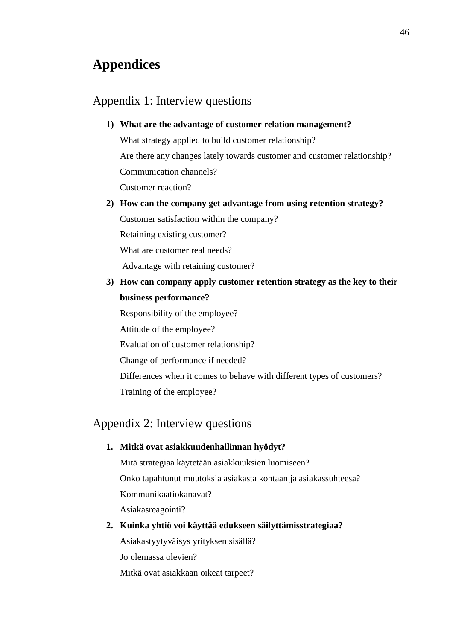# <span id="page-47-0"></span>**Appendices**

### <span id="page-47-1"></span>Appendix 1: Interview questions

#### **1) What are the advantage of customer relation management?**

What strategy applied to build customer relationship? Are there any changes lately towards customer and customer relationship? Communication channels? Customer reaction?

**2) How can the company get advantage from using retention strategy?**

Customer satisfaction within the company?

Retaining existing customer?

What are customer real needs?

Advantage with retaining customer?

**3) How can company apply customer retention strategy as the key to their business performance?**

Responsibility of the employee? Attitude of the employee? Evaluation of customer relationship? Change of performance if needed? Differences when it comes to behave with different types of customers?

Training of the employee?

### <span id="page-47-2"></span>Appendix 2: Interview questions

#### **1. Mitkä ovat asiakkuudenhallinnan hyödyt?**

Mitä strategiaa käytetään asiakkuuksien luomiseen? Onko tapahtunut muutoksia asiakasta kohtaan ja asiakassuhteesa? Kommunikaatiokanavat? Asiakasreagointi?

**2. Kuinka yhtiö voi käyttää edukseen säilyttämisstrategiaa?**  Asiakastyytyväisys yrityksen sisällä? Jo olemassa olevien? Mitkä ovat asiakkaan oikeat tarpeet?